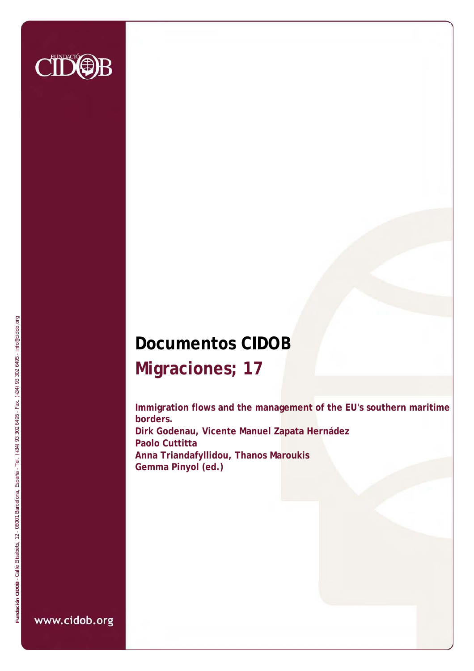

# **Documentos CIDOB Migraciones; 17**

**Immigration flows and the management of the EU's southern maritime borders. Dirk Godenau, Vicente Manuel Zapata Hernádez Paolo Cuttitta Anna Triandafyllidou, Thanos Maroukis Gemma Pinyol (ed.)**

www.cidob.org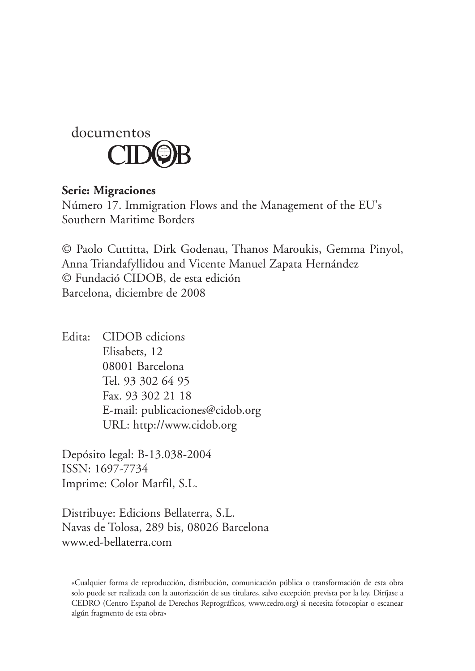

#### **Serie: Migraciones**

Número 17. Immigration Flows and the Management of the EU's Southern Maritime Borders

© Paolo Cuttitta, Dirk Godenau, Thanos Maroukis, Gemma Pinyol, Anna Triandafyllidou and Vicente Manuel Zapata Hernández © Fundació CIDOB, de esta edición Barcelona, diciembre de 2008

Edita: CIDOB edicions Elisabets, 12 08001 Barcelona Tel. 93 302 64 95 Fax. 93 302 21 18 E-mail: publicaciones@cidob.org URL: http://www.cidob.org

Depósito legal: B-13.038-2004 ISSN: 1697-7734 Imprime: Color Marfil, S.L.

Distribuye: Edicions Bellaterra, S.L. Navas de Tolosa, 289 bis, 08026 Barcelona www.ed-bellaterra.com

<sup>«</sup>Cualquier forma de reproducción, distribución, comunicación pública o transformación de esta obra solo puede ser realizada con la autorización de sus titulares, salvo excepción prevista por la ley. Diríjase a CEDRO (Centro Español de Derechos Reprográficos, www.cedro.org) si necesita fotocopiar o escanear algún fragmento de esta obra»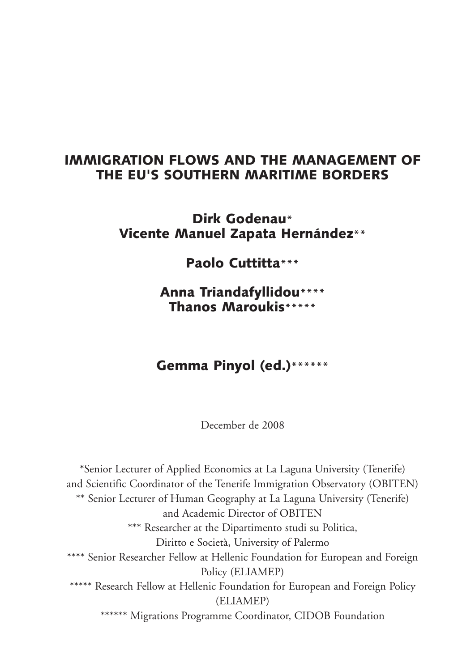# Immigration flows and the management of the EU's Southern Maritime Borders

### Dirk Godenau**\*** Vicente Manuel Zapata Hernández**\*\***

Paolo Cuttitta**\*\*\***

Anna Triandafyllidou**\*\*\*\*** Thanos Maroukis**\*\*\*\*\***

# Gemma Pinyol (ed.)**\*\*\*\*\*\***

December de 2008

\*Senior Lecturer of Applied Economics at La Laguna University (Tenerife) and Scientific Coordinator of the Tenerife Immigration Observatory (OBITEN) \*\* Senior Lecturer of Human Geography at La Laguna University (Tenerife) and Academic Director of OBITEN \*\*\* Researcher at the Dipartimento studi su Politica, Diritto e Società, University of Palermo \*\*\*\* Senior Researcher Fellow at Hellenic Foundation for European and Foreign Policy (ELIAMEP) \*\*\*\*\* Research Fellow at Hellenic Foundation for European and Foreign Policy (ELIAMEP) \*\*\*\*\*\* Migrations Programme Coordinator, CIDOB Foundation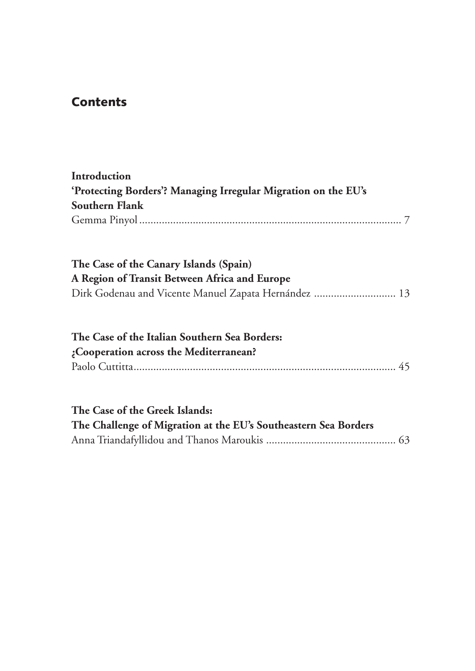# Contents

| Introduction                                                    |  |  |  |  |  |  |  |  |  |
|-----------------------------------------------------------------|--|--|--|--|--|--|--|--|--|
| 'Protecting Borders'? Managing Irregular Migration on the EU's  |  |  |  |  |  |  |  |  |  |
| Southern Flank                                                  |  |  |  |  |  |  |  |  |  |
|                                                                 |  |  |  |  |  |  |  |  |  |
| The Case of the Canary Islands (Spain)                          |  |  |  |  |  |  |  |  |  |
| A Region of Transit Between Africa and Europe                   |  |  |  |  |  |  |  |  |  |
| Dirk Godenau and Vicente Manuel Zapata Hernández  13            |  |  |  |  |  |  |  |  |  |
| The Case of the Italian Southern Sea Borders:                   |  |  |  |  |  |  |  |  |  |
| ¿Cooperation across the Mediterranean?                          |  |  |  |  |  |  |  |  |  |
|                                                                 |  |  |  |  |  |  |  |  |  |
| The Case of the Greek Islands:                                  |  |  |  |  |  |  |  |  |  |
| The Challenge of Migration at the EU's Southeastern Sea Borders |  |  |  |  |  |  |  |  |  |
|                                                                 |  |  |  |  |  |  |  |  |  |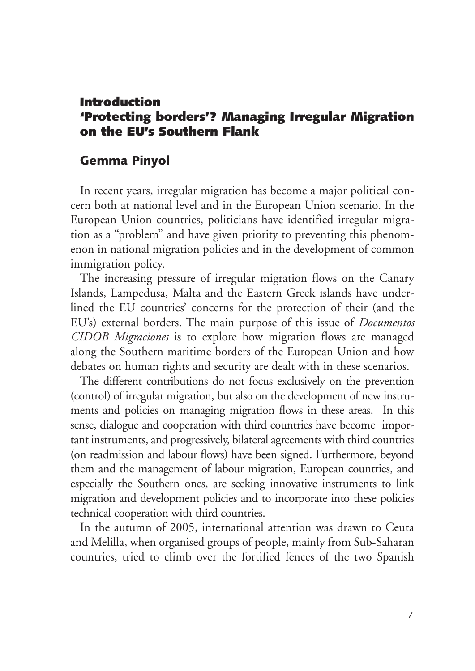#### Introduction 'Protecting borders'? Managing Irregular Migration on the EU's Southern Flank

#### Gemma Pinyol

In recent years, irregular migration has become a major political concern both at national level and in the European Union scenario. In the European Union countries, politicians have identified irregular migration as a "problem" and have given priority to preventing this phenomenon in national migration policies and in the development of common immigration policy.

The increasing pressure of irregular migration flows on the Canary Islands, Lampedusa, Malta and the Eastern Greek islands have underlined the EU countries' concerns for the protection of their (and the EU's) external borders. The main purpose of this issue of *Documentos CIDOB Migraciones* is to explore how migration flows are managed along the Southern maritime borders of the European Union and how debates on human rights and security are dealt with in these scenarios.

The different contributions do not focus exclusively on the prevention (control) of irregular migration, but also on the development of new instruments and policies on managing migration flows in these areas. In this sense, dialogue and cooperation with third countries have become important instruments, and progressively, bilateral agreements with third countries (on readmission and labour flows) have been signed. Furthermore, beyond them and the management of labour migration, European countries, and especially the Southern ones, are seeking innovative instruments to link migration and development policies and to incorporate into these policies technical cooperation with third countries.

In the autumn of 2005, international attention was drawn to Ceuta and Melilla, when organised groups of people, mainly from Sub-Saharan countries, tried to climb over the fortified fences of the two Spanish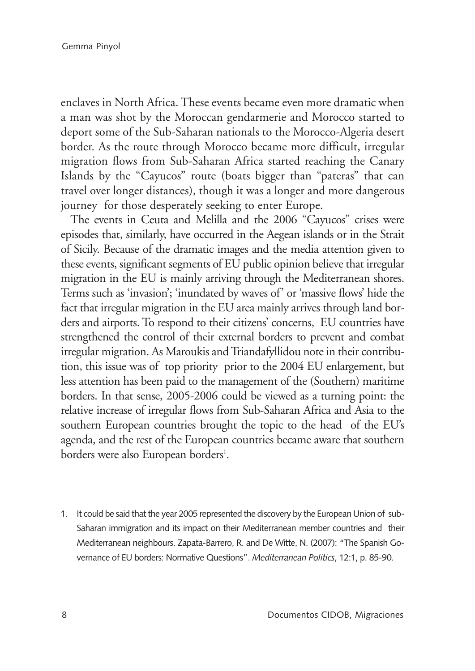enclaves in North Africa. These events became even more dramatic when a man was shot by the Moroccan gendarmerie and Morocco started to deport some of the Sub-Saharan nationals to the Morocco-Algeria desert border. As the route through Morocco became more difficult, irregular migration flows from Sub-Saharan Africa started reaching the Canary Islands by the "Cayucos" route (boats bigger than "pateras" that can travel over longer distances), though it was a longer and more dangerous journey for those desperately seeking to enter Europe.

The events in Ceuta and Melilla and the 2006 "Cayucos" crises were episodes that, similarly, have occurred in the Aegean islands or in the Strait of Sicily. Because of the dramatic images and the media attention given to these events, significant segments of EU public opinion believe that irregular migration in the EU is mainly arriving through the Mediterranean shores. Terms such as 'invasion'; 'inundated by waves of' or 'massive flows' hide the fact that irregular migration in the EU area mainly arrives through land borders and airports. To respond to their citizens' concerns, EU countries have strengthened the control of their external borders to prevent and combat irregular migration. As Maroukis and Triandafyllidou note in their contribution, this issue was of top priority prior to the 2004 EU enlargement, but less attention has been paid to the management of the (Southern) maritime borders. In that sense, 2005-2006 could be viewed as a turning point: the relative increase of irregular flows from Sub-Saharan Africa and Asia to the southern European countries brought the topic to the head of the EU's agenda, and the rest of the European countries became aware that southern borders were also European borders<sup>1</sup>.

1. It could be said that the year 2005 represented the discovery by the European Union of sub-Saharan immigration and its impact on their Mediterranean member countries and their Mediterranean neighbours. Zapata-Barrero, R. and De Witte, N. (2007): "The Spanish Governance of EU borders: Normative Questions". *Mediterranean Politics*, 12:1, p. 85-90.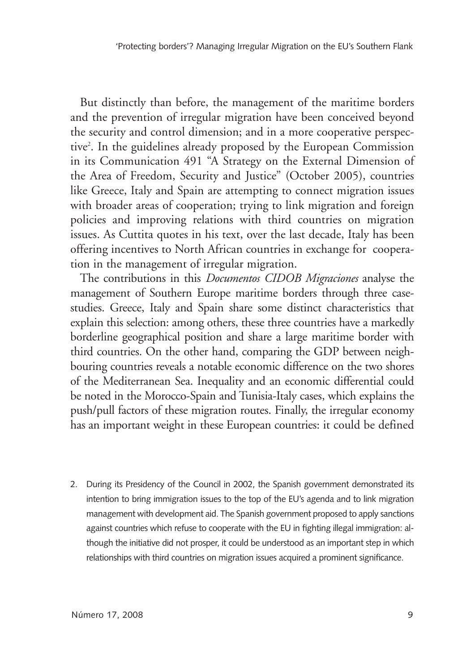But distinctly than before, the management of the maritime borders and the prevention of irregular migration have been conceived beyond the security and control dimension; and in a more cooperative perspective2 . In the guidelines already proposed by the European Commission in its Communication 491 "A Strategy on the External Dimension of the Area of Freedom, Security and Justice" (October 2005), countries like Greece, Italy and Spain are attempting to connect migration issues with broader areas of cooperation; trying to link migration and foreign policies and improving relations with third countries on migration issues. As Cuttita quotes in his text, over the last decade, Italy has been offering incentives to North African countries in exchange for cooperation in the management of irregular migration.

The contributions in this *Documentos CIDOB Migraciones* analyse the management of Southern Europe maritime borders through three casestudies. Greece, Italy and Spain share some distinct characteristics that explain this selection: among others, these three countries have a markedly borderline geographical position and share a large maritime border with third countries. On the other hand, comparing the GDP between neighbouring countries reveals a notable economic difference on the two shores of the Mediterranean Sea. Inequality and an economic differential could be noted in the Morocco-Spain and Tunisia-Italy cases, which explains the push/pull factors of these migration routes. Finally, the irregular economy has an important weight in these European countries: it could be defined

2. During its Presidency of the Council in 2002, the Spanish government demonstrated its intention to bring immigration issues to the top of the EU's agenda and to link migration management with development aid. The Spanish government proposed to apply sanctions against countries which refuse to cooperate with the EU in fighting illegal immigration: although the initiative did not prosper, it could be understood as an important step in which relationships with third countries on migration issues acquired a prominent significance.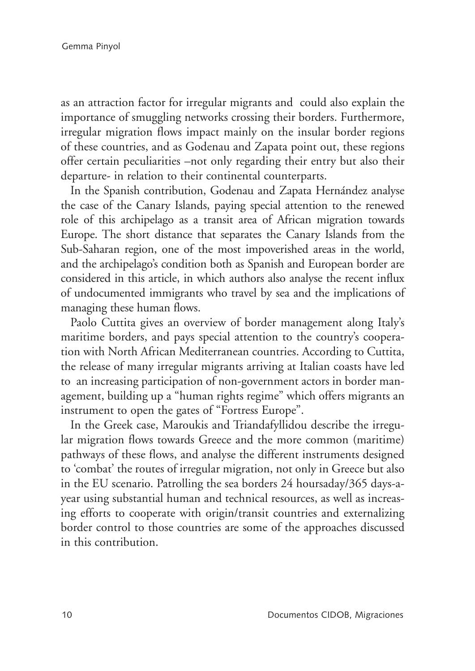as an attraction factor for irregular migrants and could also explain the importance of smuggling networks crossing their borders. Furthermore, irregular migration flows impact mainly on the insular border regions of these countries, and as Godenau and Zapata point out, these regions offer certain peculiarities –not only regarding their entry but also their departure- in relation to their continental counterparts.

In the Spanish contribution, Godenau and Zapata Hernández analyse the case of the Canary Islands, paying special attention to the renewed role of this archipelago as a transit area of African migration towards Europe. The short distance that separates the Canary Islands from the Sub-Saharan region, one of the most impoverished areas in the world, and the archipelago's condition both as Spanish and European border are considered in this article, in which authors also analyse the recent influx of undocumented immigrants who travel by sea and the implications of managing these human flows.

Paolo Cuttita gives an overview of border management along Italy's maritime borders, and pays special attention to the country's cooperation with North African Mediterranean countries. According to Cuttita, the release of many irregular migrants arriving at Italian coasts have led to an increasing participation of non-government actors in border management, building up a "human rights regime" which offers migrants an instrument to open the gates of "Fortress Europe".

In the Greek case, Maroukis and Triandafyllidou describe the irregular migration flows towards Greece and the more common (maritime) pathways of these flows, and analyse the different instruments designed to 'combat' the routes of irregular migration, not only in Greece but also in the EU scenario. Patrolling the sea borders 24 hoursaday/365 days-ayear using substantial human and technical resources, as well as increasing efforts to cooperate with origin/transit countries and externalizing border control to those countries are some of the approaches discussed in this contribution.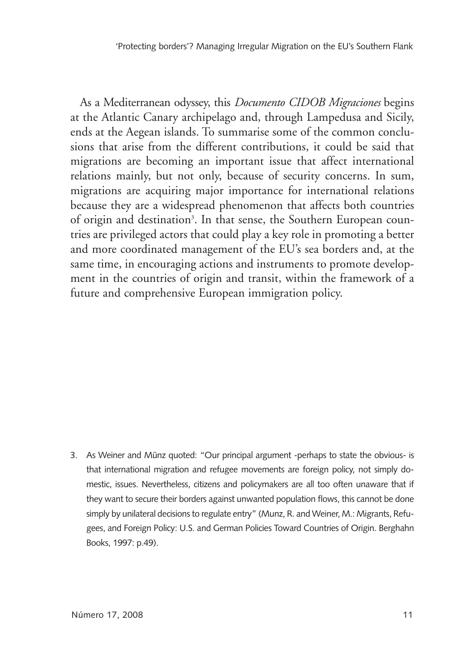As a Mediterranean odyssey, this *Documento CIDOB Migraciones* begins at the Atlantic Canary archipelago and, through Lampedusa and Sicily, ends at the Aegean islands. To summarise some of the common conclusions that arise from the different contributions, it could be said that migrations are becoming an important issue that affect international relations mainly, but not only, because of security concerns. In sum, migrations are acquiring major importance for international relations because they are a widespread phenomenon that affects both countries of origin and destination<sup>3</sup>. In that sense, the Southern European countries are privileged actors that could play a key role in promoting a better and more coordinated management of the EU's sea borders and, at the same time, in encouraging actions and instruments to promote development in the countries of origin and transit, within the framework of a future and comprehensive European immigration policy.

3. As Weiner and Münz quoted: "Our principal argument -perhaps to state the obvious- is that international migration and refugee movements are foreign policy, not simply domestic, issues. Nevertheless, citizens and policymakers are all too often unaware that if they want to secure their borders against unwanted population flows, this cannot be done simply by unilateral decisions to regulate entry" (Munz, R. and Weiner, M.: Migrants, Refugees, and Foreign Policy: U.S. and German Policies Toward Countries of Origin. Berghahn Books, 1997: p.49).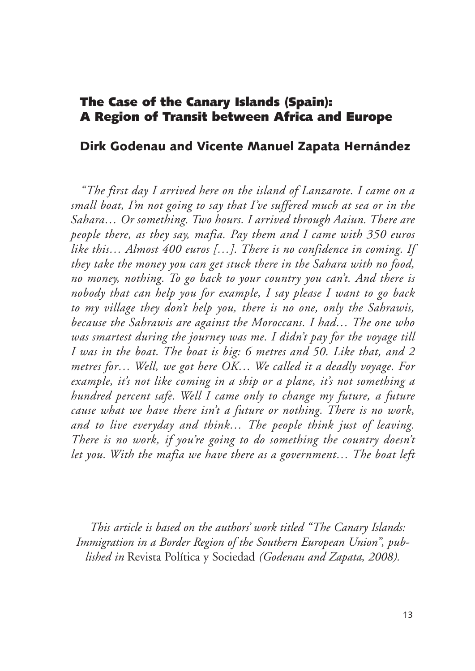#### The Case of the Canary Islands (Spain): A Region of Transit between Africa and Europe

#### Dirk Godenau and Vicente Manuel Zapata Hernández

*"The first day I arrived here on the island of Lanzarote. I came on a small boat, I'm not going to say that I've suffered much at sea or in the Sahara… Or something. Two hours. I arrived through Aaiun. There are people there, as they say, mafia. Pay them and I came with 350 euros like this… Almost 400 euros […]. There is no confidence in coming. If they take the money you can get stuck there in the Sahara with no food, no money, nothing. To go back to your country you can't. And there is nobody that can help you for example, I say please I want to go back to my village they don't help you, there is no one, only the Sahrawis, because the Sahrawis are against the Moroccans. I had… The one who was smartest during the journey was me. I didn't pay for the voyage till I was in the boat. The boat is big: 6 metres and 50. Like that, and 2 metres for… Well, we got here OK… We called it a deadly voyage. For example, it's not like coming in a ship or a plane, it's not something a hundred percent safe. Well I came only to change my future, a future cause what we have there isn't a future or nothing. There is no work, and to live everyday and think… The people think just of leaving. There is no work, if you're going to do something the country doesn't let you. With the mafia we have there as a government… The boat left* 

*This article is based on the authors' work titled "The Canary Islands: Immigration in a Border Region of the Southern European Union", published in* Revista Política y Sociedad *(Godenau and Zapata, 2008).*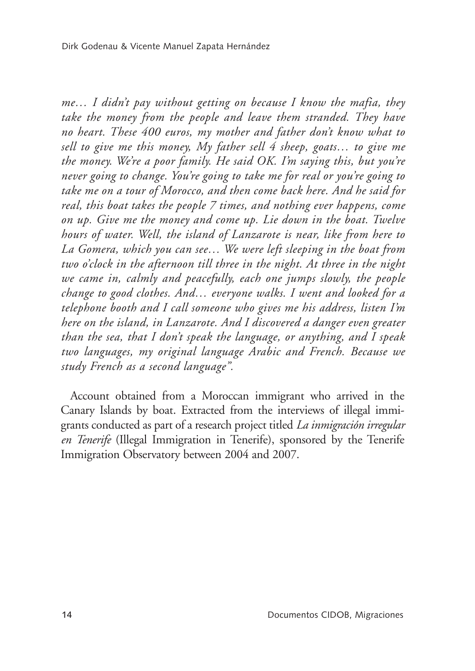*me… I didn't pay without getting on because I know the mafia, they take the money from the people and leave them stranded. They have no heart. These 400 euros, my mother and father don't know what to sell to give me this money, My father sell 4 sheep, goats… to give me the money. We're a poor family. He said OK. I'm saying this, but you're never going to change. You're going to take me for real or you're going to take me on a tour of Morocco, and then come back here. And he said for real, this boat takes the people 7 times, and nothing ever happens, come on up. Give me the money and come up. Lie down in the boat. Twelve hours of water. Well, the island of Lanzarote is near, like from here to La Gomera, which you can see… We were left sleeping in the boat from two o'clock in the afternoon till three in the night. At three in the night we came in, calmly and peacefully, each one jumps slowly, the people change to good clothes. And… everyone walks. I went and looked for a telephone booth and I call someone who gives me his address, listen I'm here on the island, in Lanzarote. And I discovered a danger even greater than the sea, that I don't speak the language, or anything, and I speak two languages, my original language Arabic and French. Because we study French as a second language".*

Account obtained from a Moroccan immigrant who arrived in the Canary Islands by boat. Extracted from the interviews of illegal immigrants conducted as part of a research project titled *La inmigración irregular en Tenerife* (Illegal Immigration in Tenerife), sponsored by the Tenerife Immigration Observatory between 2004 and 2007.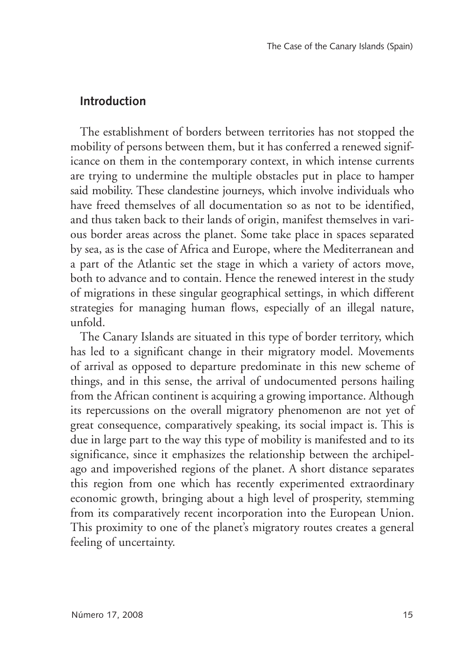#### **Introduction**

The establishment of borders between territories has not stopped the mobility of persons between them, but it has conferred a renewed significance on them in the contemporary context, in which intense currents are trying to undermine the multiple obstacles put in place to hamper said mobility. These clandestine journeys, which involve individuals who have freed themselves of all documentation so as not to be identified, and thus taken back to their lands of origin, manifest themselves in various border areas across the planet. Some take place in spaces separated by sea, as is the case of Africa and Europe, where the Mediterranean and a part of the Atlantic set the stage in which a variety of actors move, both to advance and to contain. Hence the renewed interest in the study of migrations in these singular geographical settings, in which different strategies for managing human flows, especially of an illegal nature, unfold.

The Canary Islands are situated in this type of border territory, which has led to a significant change in their migratory model. Movements of arrival as opposed to departure predominate in this new scheme of things, and in this sense, the arrival of undocumented persons hailing from the African continent is acquiring a growing importance. Although its repercussions on the overall migratory phenomenon are not yet of great consequence, comparatively speaking, its social impact is. This is due in large part to the way this type of mobility is manifested and to its significance, since it emphasizes the relationship between the archipelago and impoverished regions of the planet. A short distance separates this region from one which has recently experimented extraordinary economic growth, bringing about a high level of prosperity, stemming from its comparatively recent incorporation into the European Union. This proximity to one of the planet's migratory routes creates a general feeling of uncertainty.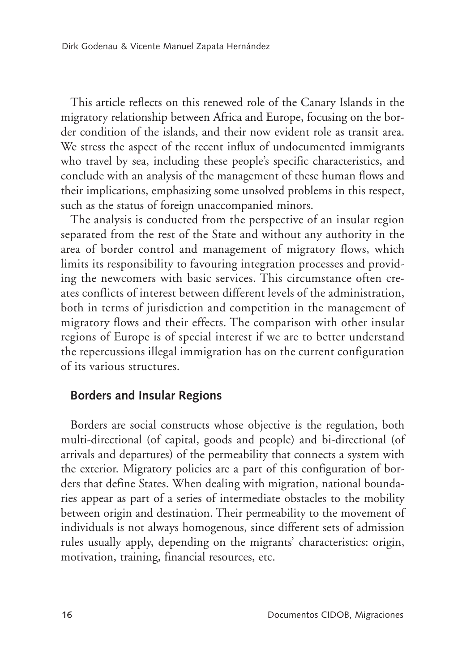This article reflects on this renewed role of the Canary Islands in the migratory relationship between Africa and Europe, focusing on the border condition of the islands, and their now evident role as transit area. We stress the aspect of the recent influx of undocumented immigrants who travel by sea, including these people's specific characteristics, and conclude with an analysis of the management of these human flows and their implications, emphasizing some unsolved problems in this respect, such as the status of foreign unaccompanied minors.

The analysis is conducted from the perspective of an insular region separated from the rest of the State and without any authority in the area of border control and management of migratory flows, which limits its responsibility to favouring integration processes and providing the newcomers with basic services. This circumstance often creates conflicts of interest between different levels of the administration, both in terms of jurisdiction and competition in the management of migratory flows and their effects. The comparison with other insular regions of Europe is of special interest if we are to better understand the repercussions illegal immigration has on the current configuration of its various structures.

#### **Borders and Insular Regions**

Borders are social constructs whose objective is the regulation, both multi-directional (of capital, goods and people) and bi-directional (of arrivals and departures) of the permeability that connects a system with the exterior. Migratory policies are a part of this configuration of borders that define States. When dealing with migration, national boundaries appear as part of a series of intermediate obstacles to the mobility between origin and destination. Their permeability to the movement of individuals is not always homogenous, since different sets of admission rules usually apply, depending on the migrants' characteristics: origin, motivation, training, financial resources, etc.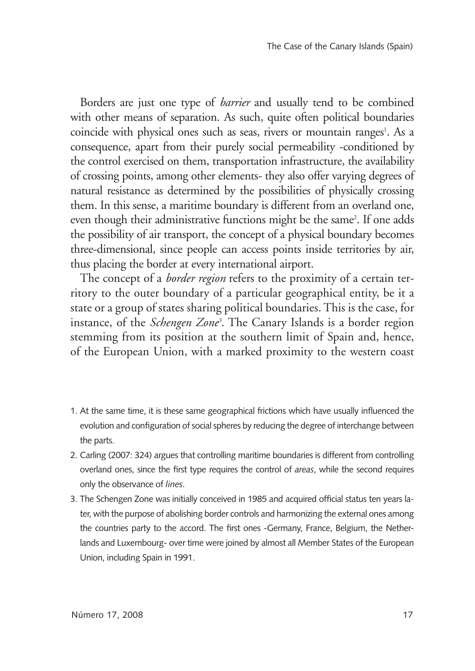Borders are just one type of *barrier* and usually tend to be combined with other means of separation. As such, quite often political boundaries coincide with physical ones such as seas, rivers or mountain ranges<sup>1</sup>. As a consequence, apart from their purely social permeability -conditioned by the control exercised on them, transportation infrastructure, the availability of crossing points, among other elements- they also offer varying degrees of natural resistance as determined by the possibilities of physically crossing them. In this sense, a maritime boundary is different from an overland one, even though their administrative functions might be the same<sup>2</sup>. If one adds the possibility of air transport, the concept of a physical boundary becomes three-dimensional, since people can access points inside territories by air, thus placing the border at every international airport.

The concept of a *border region* refers to the proximity of a certain territory to the outer boundary of a particular geographical entity, be it a state or a group of states sharing political boundaries. This is the case, for instance, of the *Schengen Zone3* . The Canary Islands is a border region stemming from its position at the southern limit of Spain and, hence, of the European Union, with a marked proximity to the western coast

- 1. At the same time, it is these same geographical frictions which have usually influenced the evolution and configuration of social spheres by reducing the degree of interchange between the parts.
- 2. Carling (2007: 324) argues that controlling maritime boundaries is different from controlling overland ones, since the first type requires the control of *areas*, while the second requires only the observance of *lines*.
- 3. The Schengen Zone was initially conceived in 1985 and acquired official status ten years later, with the purpose of abolishing border controls and harmonizing the external ones among the countries party to the accord. The first ones -Germany, France, Belgium, the Netherlands and Luxembourg- over time were joined by almost all Member States of the European Union, including Spain in 1991.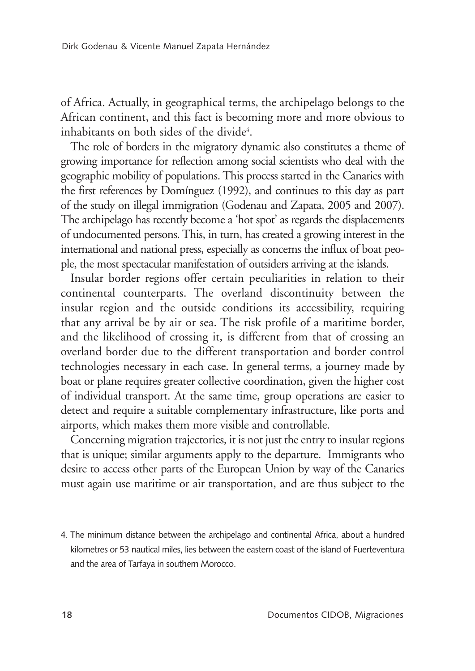of Africa. Actually, in geographical terms, the archipelago belongs to the African continent, and this fact is becoming more and more obvious to inhabitants on both sides of the divide<sup>4</sup>.

The role of borders in the migratory dynamic also constitutes a theme of growing importance for reflection among social scientists who deal with the geographic mobility of populations. This process started in the Canaries with the first references by Domínguez (1992), and continues to this day as part of the study on illegal immigration (Godenau and Zapata, 2005 and 2007). The archipelago has recently become a 'hot spot' as regards the displacements of undocumented persons. This, in turn, has created a growing interest in the international and national press, especially as concerns the influx of boat people, the most spectacular manifestation of outsiders arriving at the islands.

Insular border regions offer certain peculiarities in relation to their continental counterparts. The overland discontinuity between the insular region and the outside conditions its accessibility, requiring that any arrival be by air or sea. The risk profile of a maritime border, and the likelihood of crossing it, is different from that of crossing an overland border due to the different transportation and border control technologies necessary in each case. In general terms, a journey made by boat or plane requires greater collective coordination, given the higher cost of individual transport. At the same time, group operations are easier to detect and require a suitable complementary infrastructure, like ports and airports, which makes them more visible and controllable.

Concerning migration trajectories, it is not just the entry to insular regions that is unique; similar arguments apply to the departure. Immigrants who desire to access other parts of the European Union by way of the Canaries must again use maritime or air transportation, and are thus subject to the

<sup>4.</sup> The minimum distance between the archipelago and continental Africa, about a hundred kilometres or 53 nautical miles, lies between the eastern coast of the island of Fuerteventura and the area of Tarfaya in southern Morocco.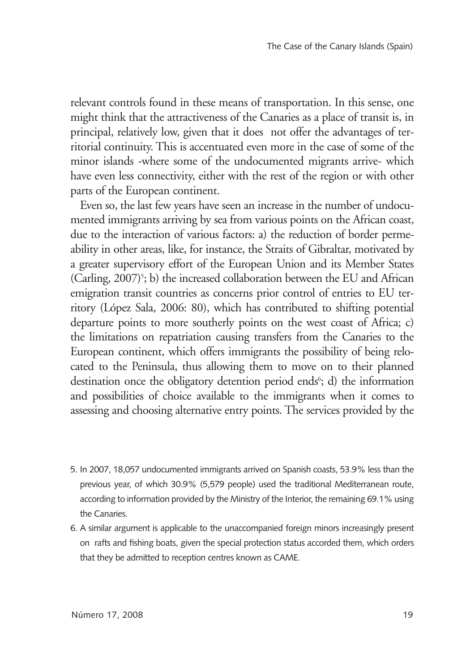relevant controls found in these means of transportation. In this sense, one might think that the attractiveness of the Canaries as a place of transit is, in principal, relatively low, given that it does not offer the advantages of territorial continuity. This is accentuated even more in the case of some of the minor islands -where some of the undocumented migrants arrive- which have even less connectivity, either with the rest of the region or with other parts of the European continent.

Even so, the last few years have seen an increase in the number of undocumented immigrants arriving by sea from various points on the African coast, due to the interaction of various factors: a) the reduction of border permeability in other areas, like, for instance, the Straits of Gibraltar, motivated by a greater supervisory effort of the European Union and its Member States (Carling,  $2007$ )<sup>5</sup>; b) the increased collaboration between the EU and African emigration transit countries as concerns prior control of entries to EU territory (López Sala, 2006: 80), which has contributed to shifting potential departure points to more southerly points on the west coast of Africa; c) the limitations on repatriation causing transfers from the Canaries to the European continent, which offers immigrants the possibility of being relocated to the Peninsula, thus allowing them to move on to their planned destination once the obligatory detention period ends<sup>6</sup>; d) the information and possibilities of choice available to the immigrants when it comes to assessing and choosing alternative entry points. The services provided by the

- 5. In 2007, 18,057 undocumented immigrants arrived on Spanish coasts, 53.9% less than the previous year, of which 30.9% (5,579 people) used the traditional Mediterranean route, according to information provided by the Ministry of the Interior, the remaining 69.1% using the Canaries.
- 6. A similar argument is applicable to the unaccompanied foreign minors increasingly present on rafts and fishing boats, given the special protection status accorded them, which orders that they be admitted to reception centres known as CAME.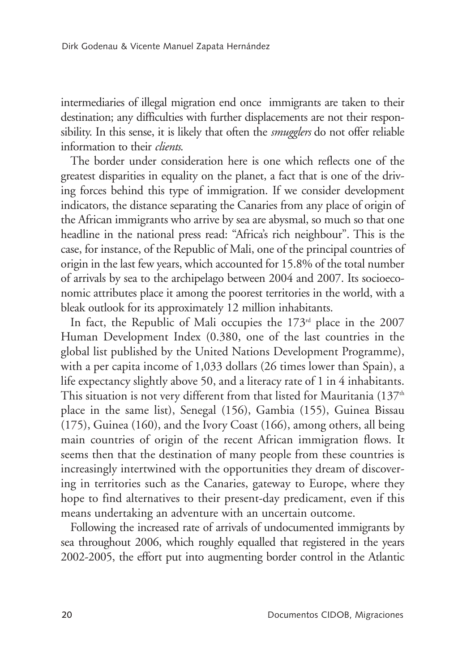intermediaries of illegal migration end once immigrants are taken to their destination; any difficulties with further displacements are not their responsibility. In this sense, it is likely that often the *smugglers* do not offer reliable information to their *clients*.

The border under consideration here is one which reflects one of the greatest disparities in equality on the planet, a fact that is one of the driving forces behind this type of immigration. If we consider development indicators, the distance separating the Canaries from any place of origin of the African immigrants who arrive by sea are abysmal, so much so that one headline in the national press read: "Africa's rich neighbour". This is the case, for instance, of the Republic of Mali, one of the principal countries of origin in the last few years, which accounted for 15.8% of the total number of arrivals by sea to the archipelago between 2004 and 2007. Its socioeconomic attributes place it among the poorest territories in the world, with a bleak outlook for its approximately 12 million inhabitants.

In fact, the Republic of Mali occupies the  $173<sup>rd</sup>$  place in the 2007 Human Development Index (0.380, one of the last countries in the global list published by the United Nations Development Programme), with a per capita income of 1,033 dollars (26 times lower than Spain), a life expectancy slightly above 50, and a literacy rate of 1 in 4 inhabitants. This situation is not very different from that listed for Mauritania  $(137<sup>th</sup>$ place in the same list), Senegal (156), Gambia (155), Guinea Bissau (175), Guinea (160), and the Ivory Coast (166), among others, all being main countries of origin of the recent African immigration flows. It seems then that the destination of many people from these countries is increasingly intertwined with the opportunities they dream of discovering in territories such as the Canaries, gateway to Europe, where they hope to find alternatives to their present-day predicament, even if this means undertaking an adventure with an uncertain outcome.

Following the increased rate of arrivals of undocumented immigrants by sea throughout 2006, which roughly equalled that registered in the years 2002-2005, the effort put into augmenting border control in the Atlantic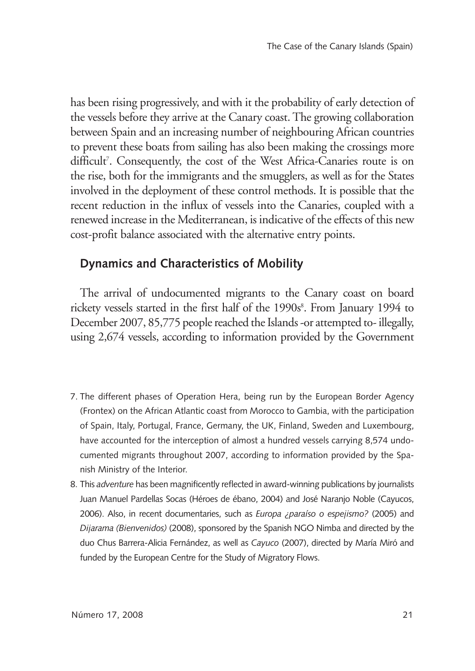has been rising progressively, and with it the probability of early detection of the vessels before they arrive at the Canary coast. The growing collaboration between Spain and an increasing number of neighbouring African countries to prevent these boats from sailing has also been making the crossings more difficult<sup>7</sup>. Consequently, the cost of the West Africa-Canaries route is on the rise, both for the immigrants and the smugglers, as well as for the States involved in the deployment of these control methods. It is possible that the recent reduction in the influx of vessels into the Canaries, coupled with a renewed increase in the Mediterranean, is indicative of the effects of this new cost-profit balance associated with the alternative entry points.

#### **Dynamics and Characteristics of Mobility**

The arrival of undocumented migrants to the Canary coast on board rickety vessels started in the first half of the 1990s<sup>8</sup>. From January 1994 to December 2007, 85,775 people reached the Islands -or attempted to- illegally, using 2,674 vessels, according to information provided by the Government

- 7. The different phases of Operation Hera, being run by the European Border Agency (Frontex) on the African Atlantic coast from Morocco to Gambia, with the participation of Spain, Italy, Portugal, France, Germany, the UK, Finland, Sweden and Luxembourg, have accounted for the interception of almost a hundred vessels carrying 8,574 undocumented migrants throughout 2007, according to information provided by the Spanish Ministry of the Interior.
- 8. This *adventure* has been magnificently reflected in award-winning publications by journalists Juan Manuel Pardellas Socas (Héroes de ébano, 2004) and José Naranjo Noble (Cayucos, 2006). Also, in recent documentaries, such as *Europa ¿paraíso o espejismo?* (2005) and *Dijarama (Bienvenidos)* (2008), sponsored by the Spanish NGO Nimba and directed by the duo Chus Barrera-Alicia Fernández, as well as *Cayuco* (2007), directed by María Miró and funded by the European Centre for the Study of Migratory Flows.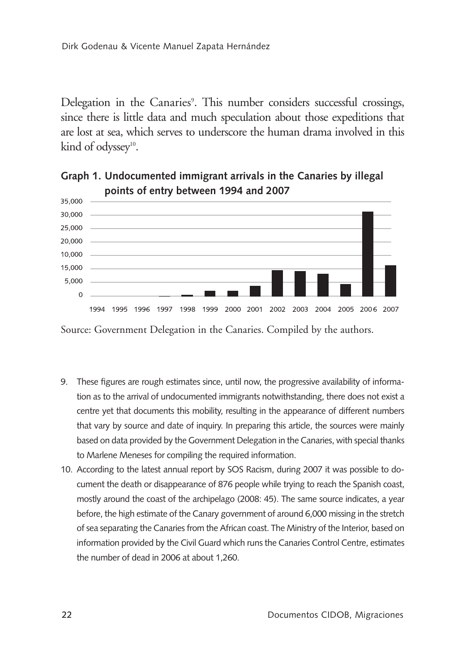Delegation in the Canaries<sup>9</sup>. This number considers successful crossings, since there is little data and much speculation about those expeditions that are lost at sea, which serves to underscore the human drama involved in this kind of odyssey<sup>10</sup>.



**Graph 1. Undocumented immigrant arrivals in the Canaries by illegal points of entry between 1994 and 2007**

Source: Government Delegation in the Canaries. Compiled by the authors.

- 9. These figures are rough estimates since, until now, the progressive availability of information as to the arrival of undocumented immigrants notwithstanding, there does not exist a centre yet that documents this mobility, resulting in the appearance of different numbers that vary by source and date of inquiry. In preparing this article, the sources were mainly based on data provided by the Government Delegation in the Canaries, with special thanks to Marlene Meneses for compiling the required information.
- 10. According to the latest annual report by SOS Racism, during 2007 it was possible to document the death or disappearance of 876 people while trying to reach the Spanish coast, mostly around the coast of the archipelago (2008: 45). The same source indicates, a year before, the high estimate of the Canary government of around 6,000 missing in the stretch of sea separating the Canaries from the African coast. The Ministry of the Interior, based on information provided by the Civil Guard which runs the Canaries Control Centre, estimates the number of dead in 2006 at about 1,260.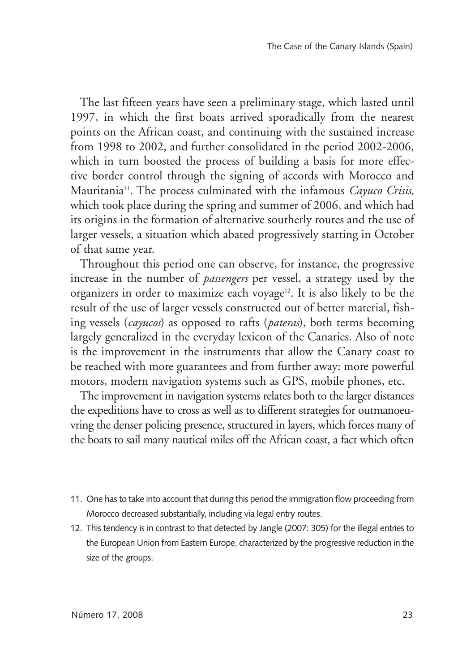The last fifteen years have seen a preliminary stage, which lasted until 1997, in which the first boats arrived sporadically from the nearest points on the African coast, and continuing with the sustained increase from 1998 to 2002, and further consolidated in the period 2002-2006, which in turn boosted the process of building a basis for more effective border control through the signing of accords with Morocco and Mauritania11. The process culminated with the infamous *Cayuco Crisis,*  which took place during the spring and summer of 2006, and which had its origins in the formation of alternative southerly routes and the use of larger vessels, a situation which abated progressively starting in October of that same year.

Throughout this period one can observe, for instance, the progressive increase in the number of *passengers* per vessel, a strategy used by the organizers in order to maximize each voyage<sup>12</sup>. It is also likely to be the result of the use of larger vessels constructed out of better material, fishing vessels (*cayucos*) as opposed to rafts (*pateras*), both terms becoming largely generalized in the everyday lexicon of the Canaries. Also of note is the improvement in the instruments that allow the Canary coast to be reached with more guarantees and from further away: more powerful motors, modern navigation systems such as GPS, mobile phones, etc.

The improvement in navigation systems relates both to the larger distances the expeditions have to cross as well as to different strategies for outmanoeuvring the denser policing presence, structured in layers, which forces many of the boats to sail many nautical miles off the African coast, a fact which often

- 11. One has to take into account that during this period the immigration flow proceeding from Morocco decreased substantially, including via legal entry routes.
- 12. This tendency is in contrast to that detected by Jangle (2007: 305) for the illegal entries to the European Union from Eastern Europe, characterized by the progressive reduction in the size of the groups.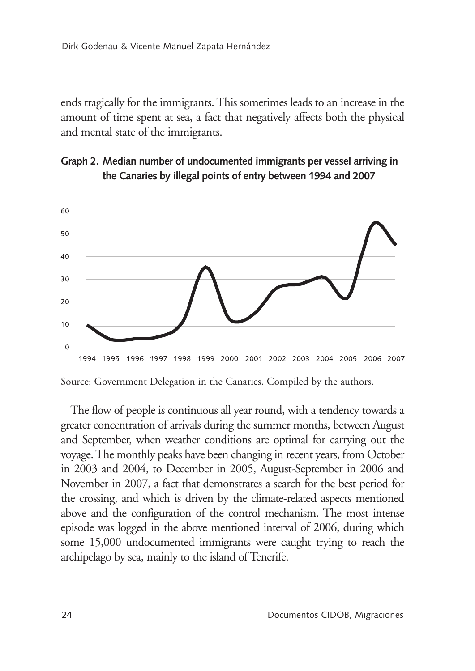ends tragically for the immigrants. This sometimes leads to an increase in the amount of time spent at sea, a fact that negatively affects both the physical and mental state of the immigrants.





Source: Government Delegation in the Canaries. Compiled by the authors.

The flow of people is continuous all year round, with a tendency towards a greater concentration of arrivals during the summer months, between August and September, when weather conditions are optimal for carrying out the voyage. The monthly peaks have been changing in recent years, from October in 2003 and 2004, to December in 2005, August-September in 2006 and November in 2007, a fact that demonstrates a search for the best period for the crossing, and which is driven by the climate-related aspects mentioned above and the configuration of the control mechanism. The most intense episode was logged in the above mentioned interval of 2006, during which some 15,000 undocumented immigrants were caught trying to reach the archipelago by sea, mainly to the island of Tenerife.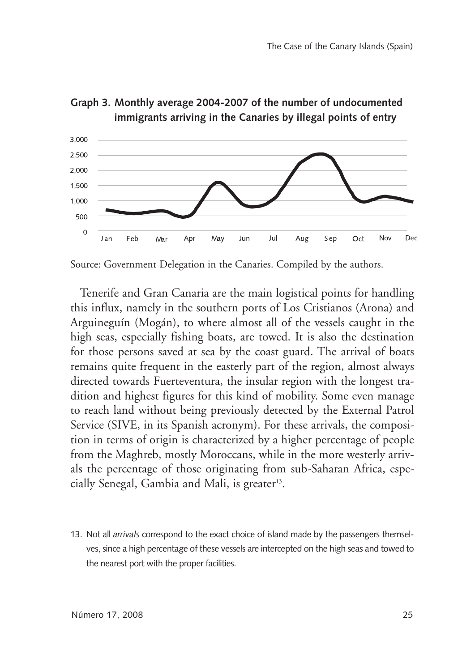



Tenerife and Gran Canaria are the main logistical points for handling this influx, namely in the southern ports of Los Cristianos (Arona) and Arguineguín (Mogán), to where almost all of the vessels caught in the high seas, especially fishing boats, are towed. It is also the destination for those persons saved at sea by the coast guard. The arrival of boats remains quite frequent in the easterly part of the region, almost always directed towards Fuerteventura, the insular region with the longest tradition and highest figures for this kind of mobility. Some even manage to reach land without being previously detected by the External Patrol Service (SIVE, in its Spanish acronym). For these arrivals, the composition in terms of origin is characterized by a higher percentage of people from the Maghreb, mostly Moroccans, while in the more westerly arrivals the percentage of those originating from sub-Saharan Africa, especially Senegal, Gambia and Mali, is greater<sup>13</sup>.

13. Not all *arrivals* correspond to the exact choice of island made by the passengers themselves, since a high percentage of these vessels are intercepted on the high seas and towed to the nearest port with the proper facilities.

Source: Government Delegation in the Canaries. Compiled by the authors.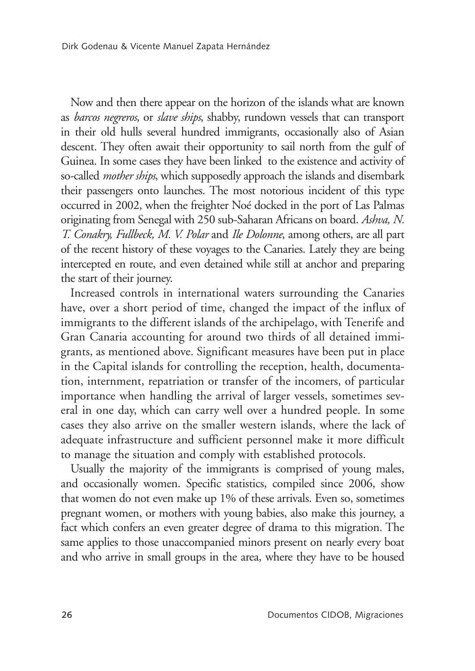Now and then there appear on the horizon of the islands what are known as *barcos negreros*, or *slave ships*, shabby, rundown vessels that can transport in their old hulls several hundred immigrants, occasionally also of Asian descent. They often await their opportunity to sail north from the gulf of Guinea. In some cases they have been linked to the existence and activity of so-called *mother ships*, which supposedly approach the islands and disembark their passengers onto launches. The most notorious incident of this type occurred in 2002, when the freighter Noé docked in the port of Las Palmas originating from Senegal with 250 sub-Saharan Africans on board. *Ashva, N. T. Conakry, Fullbeck, M. V. Polar* and *Ile Dolonne*, among others, are all part of the recent history of these voyages to the Canaries. Lately they are being intercepted en route, and even detained while still at anchor and preparing the start of their journey.

Increased controls in international waters surrounding the Canaries have, over a short period of time, changed the impact of the influx of immigrants to the different islands of the archipelago, with Tenerife and Gran Canaria accounting for around two thirds of all detained immigrants, as mentioned above. Significant measures have been put in place in the Capital islands for controlling the reception, health, documentation, internment, repatriation or transfer of the incomers, of particular importance when handling the arrival of larger vessels, sometimes several in one day, which can carry well over a hundred people. In some cases they also arrive on the smaller western islands, where the lack of adequate infrastructure and sufficient personnel make it more difficult to manage the situation and comply with established protocols.

Usually the majority of the immigrants is comprised of young males, and occasionally women. Specific statistics, compiled since 2006, show that women do not even make up 1% of these arrivals. Even so, sometimes pregnant women, or mothers with young babies, also make this journey, a fact which confers an even greater degree of drama to this migration. The same applies to those unaccompanied minors present on nearly every boat and who arrive in small groups in the area, where they have to be housed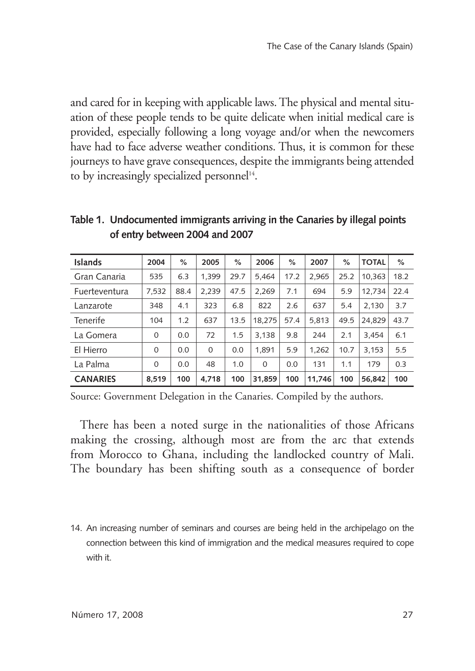and cared for in keeping with applicable laws. The physical and mental situation of these people tends to be quite delicate when initial medical care is provided, especially following a long voyage and/or when the newcomers have had to face adverse weather conditions. Thus, it is common for these journeys to have grave consequences, despite the immigrants being attended to by increasingly specialized personnel<sup>14</sup>.

| <b>Islands</b>  | 2004     | %    | 2005     | %    | 2006     | %    | 2007   | %    | <b>TOTAL</b> | $\%$ |
|-----------------|----------|------|----------|------|----------|------|--------|------|--------------|------|
| Gran Canaria    | 535      | 6.3  | 1.399    | 29.7 | 5.464    | 17.2 | 2.965  | 25.2 | 10,363       | 18.2 |
| Fuerteventura   | 7,532    | 88.4 | 2.239    | 47.5 | 2.269    | 7.1  | 694    | 5.9  | 12.734       | 22.4 |
| Lanzarote       | 348      | 4.1  | 323      | 6.8  | 822      | 2.6  | 637    | 5.4  | 2.130        | 3.7  |
| Tenerife        | 104      | 1.2  | 637      | 13.5 | 18.275   | 57.4 | 5.813  | 49.5 | 24.829       | 43.7 |
| La Gomera       | $\Omega$ | 0.0  | 72       | 1.5  | 3.138    | 9.8  | 244    | 2.1  | 3.454        | 6.1  |
| El Hierro       | $\Omega$ | 0.0  | $\Omega$ | 0.0  | 1.891    | 5.9  | 1.262  | 10.7 | 3.153        | 5.5  |
| La Palma        | $\Omega$ | 0.0  | 48       | 1.0  | $\Omega$ | 0.0  | 131    | 1.1  | 179          | 0.3  |
| <b>CANARIES</b> | 8.519    | 100  | 4.718    | 100  | 31.859   | 100  | 11.746 | 100  | 56.842       | 100  |

**Table 1. Undocumented immigrants arriving in the Canaries by illegal points of entry between 2004 and 2007**

Source: Government Delegation in the Canaries. Compiled by the authors.

There has been a noted surge in the nationalities of those Africans making the crossing, although most are from the arc that extends from Morocco to Ghana, including the landlocked country of Mali. The boundary has been shifting south as a consequence of border

14. An increasing number of seminars and courses are being held in the archipelago on the connection between this kind of immigration and the medical measures required to cope with it.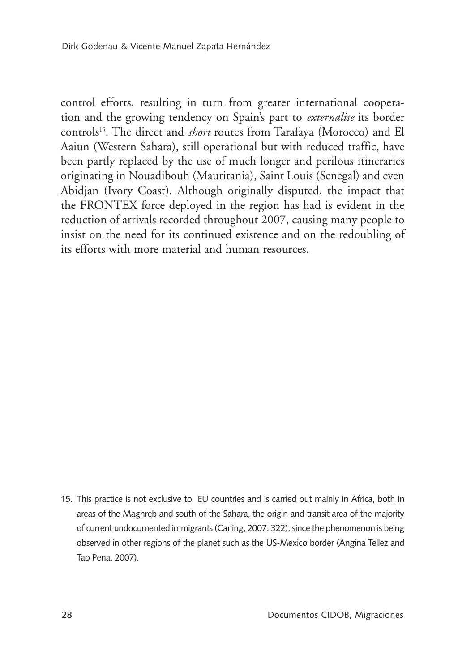control efforts, resulting in turn from greater international cooperation and the growing tendency on Spain's part to *externalise* its border controls15. The direct and *short* routes from Tarafaya (Morocco) and El Aaiun (Western Sahara), still operational but with reduced traffic, have been partly replaced by the use of much longer and perilous itineraries originating in Nouadibouh (Mauritania), Saint Louis (Senegal) and even Abidjan (Ivory Coast). Although originally disputed, the impact that the FRONTEX force deployed in the region has had is evident in the reduction of arrivals recorded throughout 2007, causing many people to insist on the need for its continued existence and on the redoubling of its efforts with more material and human resources.

15. This practice is not exclusive to EU countries and is carried out mainly in Africa, both in areas of the Maghreb and south of the Sahara, the origin and transit area of the majority of current undocumented immigrants (Carling, 2007: 322), since the phenomenon is being observed in other regions of the planet such as the US-Mexico border (Angina Tellez and Tao Pena, 2007).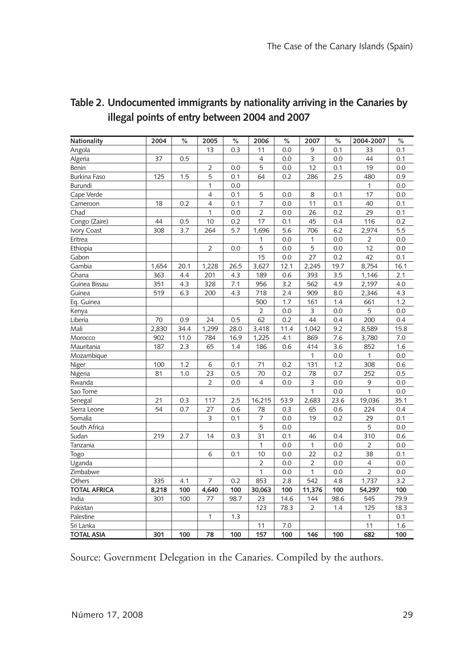| Nationality         | 2004  | $\%$ | 2005           | %    | 2006           | $\%$ | 2007           | %    | 2004-2007      | %    |
|---------------------|-------|------|----------------|------|----------------|------|----------------|------|----------------|------|
| Angola              |       |      | 13             | 0.3  | 11             | 0.0  | 9              | 0.1  | 33             | 0.1  |
| Algeria             | 37    | 0.5  |                |      | 4              | 0.0  | 3              | 0.0  | 44             | 0.1  |
| Benin               |       |      | $\overline{2}$ | 0.0  | 5              | 0.0  | 12             | 0.1  | 19             | 0.0  |
| <b>Burkina Faso</b> | 125   | 1.5  | 5              | 0.1  | 64             | 0.2  | 286            | 2.5  | 480            | 0.9  |
| Burundi             |       |      | 1              | 0.0  |                |      |                |      | 1              | 0.0  |
| Cape Verde          |       |      | $\overline{4}$ | 0.1  | 5              | 0.0  | 8              | 0.1  | 17             | 0.0  |
| Cameroon            | 18    | 0.2  | 4              | 0.1  | $\overline{7}$ | 0.0  | 11             | 0.1  | 40             | 0.1  |
| Chad                |       |      | 1              | 0.0  | $\overline{2}$ | 0.0  | 26             | 0.2  | 29             | 0.1  |
| Congo (Zaire)       | 44    | 0.5  | 10             | 0.2  | 17             | 0.1  | 45             | 0.4  | 116            | 0.2  |
| Ivory Coast         | 308   | 3.7  | 264            | 5.7  | 1,696          | 5.6  | 706            | 6.2  | 2,974          | 5.5  |
| Eritrea             |       |      |                |      | 1              | 0.0  | 1              | 0.0  | 2              | 0.0  |
| Ethiopia            |       |      | $\overline{2}$ | 0.0  | 5              | 0.0  | 5              | 0.0  | 12             | 0.0  |
| Gabon               |       |      |                |      | 15             | 0.0  | 27             | 0.2  | 42             | 0.1  |
| Gambia              | 1,654 | 20.1 | 1,228          | 26.5 | 3,627          | 12.1 | 2,245          | 19.7 | 8,754          | 16.1 |
| Ghana               | 363   | 4.4  | 201            | 4.3  | 189            | 0.6  | 393            | 3.5  | 1,146          | 2.1  |
| Guinea Bissau       | 351   | 4.3  | 328            | 7.1  | 956            | 3.2  | 562            | 4.9  | 2,197          | 4.0  |
| Guinea              | 519   | 6.3  | 200            | 4.3  | 718            | 2.4  | 909            | 8.0  | 2,346          | 4.3  |
| Eq. Guinea          |       |      |                |      | 500            | 1.7  | 161            | 1.4  | 661            | 1.2  |
| Kenya               |       |      |                |      | $\overline{2}$ | 0.0  | 3              | 0.0  | 5              | 0.0  |
| Liberia             | 70    | 0.9  | 24             | 0.5  | 62             | 0.2  | 44             | 0.4  | 200            | 0.4  |
| Mali                | 2,830 | 34.4 | 1,299          | 28.0 | 3,418          | 11.4 | 1,042          | 9.2  | 8,589          | 15.8 |
| Morocco             | 902   | 11.0 | 784            | 16.9 | 1,225          | 4.1  | 869            | 7.6  | 3,780          | 7.0  |
| Mauritania          | 187   | 2.3  | 65             | 1.4  | 186            | 0.6  | 414            | 3.6  | 852            | 1.6  |
| Mozambique          |       |      |                |      |                |      | 1              | 0.0  | 1              | 0.0  |
| Niger               | 100   | 1.2  | 6              | 0.1  | 71             | 0.2  | 131            | 1.2  | 308            | 0.6  |
| Nigeria             | 81    | 1.0  | 23             | 0.5  | 70             | 0.2  | 78             | 0.7  | 252            | 0.5  |
| Rwanda              |       |      | $\overline{2}$ | 0.0  | 4              | 0.0  | 3              | 0.0  | 9              | 0.0  |
| Sao Tome            |       |      |                |      |                |      | 1              | 0.0  | 1              | 0.0  |
| Senegal             | 21    | 0.3  | 117            | 2.5  | 16,215         | 53.9 | 2,683          | 23.6 | 19,036         | 35.1 |
| Sierra Leone        | 54    | 0.7  | 27             | 0.6  | 78             | 0.3  | 65             | 0.6  | 224            | 0.4  |
| Somalia             |       |      | 3              | 0.1  | 7              | 0.0  | 19             | 0.2  | 29             | 0.1  |
| South Africa        |       |      |                |      | 5              | 0.0  |                |      | 5              | 0.0  |
| Sudan               | 219   | 2.7  | 14             | 0.3  | 31             | 0.1  | 46             | 0.4  | 310            | 0.6  |
| Tanzania            |       |      |                |      | 1              | 0.0  | 1              | 0.0  | $\overline{2}$ | 0.0  |
| Togo                |       |      | 6              | 0.1  | 10             | 0.0  | 22             | 0.2  | 38             | 0.1  |
| Uganda              |       |      |                |      | 2              | 0.0  | 2              | 0.0  | $\overline{4}$ | 0.0  |
| Zimbabwe            |       |      |                |      | 1              | 0.0  | 1              | 0.0  | $\overline{2}$ | 0.0  |
| Others              | 335   | 4.1  | 7              | 0.2  | 853            | 2.8  | 542            | 4.8  | 1,737          | 3.2  |
| <b>TOTAL AFRICA</b> | 8,218 | 100  | 4,640          | 100  | 30,063         | 100  | 11,376         | 100  | 54,297         | 100  |
| India               | 301   | 100  | 77             | 98.7 | 23             | 14.6 | 144            | 98.6 | 545            | 79.9 |
| Pakistan            |       |      |                |      | 123            | 78.3 | $\overline{2}$ | 1.4  | 125            | 18.3 |
| Palestine           |       |      | 1              | 1.3  |                |      |                |      | 1              | 0.1  |
| Sri Lanka           |       |      |                |      | 11             | 7.0  |                |      | 11             | 1.6  |
| <b>TOTAL ASIA</b>   | 301   | 100  | 78             | 100  | 157            | 100  | 146            | 100  | 682            | 100  |

#### **Table 2. Undocumented immigrants by nationality arriving in the Canaries by illegal points of entry between 2004 and 2007**

Source: Government Delegation in the Canaries. Compiled by the authors.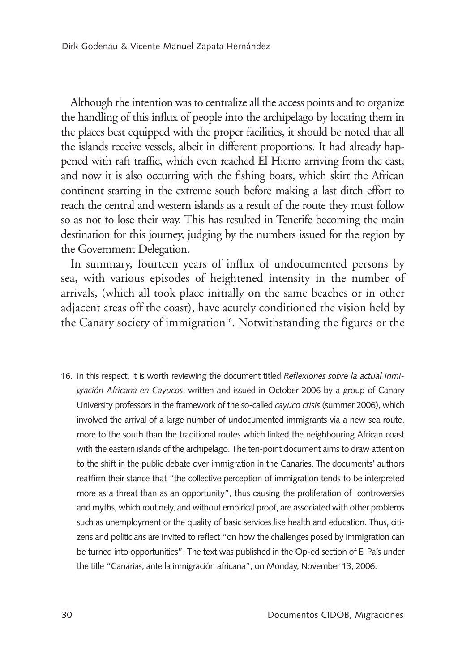Although the intention was to centralize all the access points and to organize the handling of this influx of people into the archipelago by locating them in the places best equipped with the proper facilities, it should be noted that all the islands receive vessels, albeit in different proportions. It had already happened with raft traffic, which even reached El Hierro arriving from the east, and now it is also occurring with the fishing boats, which skirt the African continent starting in the extreme south before making a last ditch effort to reach the central and western islands as a result of the route they must follow so as not to lose their way. This has resulted in Tenerife becoming the main destination for this journey, judging by the numbers issued for the region by the Government Delegation.

In summary, fourteen years of influx of undocumented persons by sea, with various episodes of heightened intensity in the number of arrivals, (which all took place initially on the same beaches or in other adjacent areas off the coast), have acutely conditioned the vision held by the Canary society of immigration<sup>16</sup>. Notwithstanding the figures or the

16. In this respect, it is worth reviewing the document titled *Reflexiones sobre la actual inmigración Africana en Cayucos*, written and issued in October 2006 by a group of Canary University professors in the framework of the so-called *cayuco crisis* (summer 2006), which involved the arrival of a large number of undocumented immigrants via a new sea route, more to the south than the traditional routes which linked the neighbouring African coast with the eastern islands of the archipelago. The ten-point document aims to draw attention to the shift in the public debate over immigration in the Canaries. The documents' authors reaffirm their stance that "the collective perception of immigration tends to be interpreted more as a threat than as an opportunity", thus causing the proliferation of controversies and myths, which routinely, and without empirical proof, are associated with other problems such as unemployment or the quality of basic services like health and education. Thus, citizens and politicians are invited to reflect "on how the challenges posed by immigration can be turned into opportunities". The text was published in the Op-ed section of El País under the title "Canarias, ante la inmigración africana", on Monday, November 13, 2006.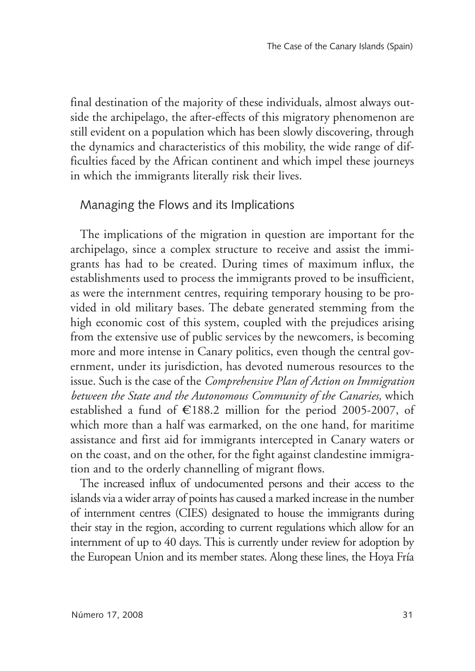final destination of the majority of these individuals, almost always outside the archipelago, the after-effects of this migratory phenomenon are still evident on a population which has been slowly discovering, through the dynamics and characteristics of this mobility, the wide range of difficulties faced by the African continent and which impel these journeys in which the immigrants literally risk their lives.

#### Managing the Flows and its Implications

The implications of the migration in question are important for the archipelago, since a complex structure to receive and assist the immigrants has had to be created. During times of maximum influx, the establishments used to process the immigrants proved to be insufficient, as were the internment centres, requiring temporary housing to be provided in old military bases. The debate generated stemming from the high economic cost of this system, coupled with the prejudices arising from the extensive use of public services by the newcomers, is becoming more and more intense in Canary politics, even though the central government, under its jurisdiction, has devoted numerous resources to the issue. Such is the case of the *Comprehensive Plan of Action on Immigration between the State and the Autonomous Community of the Canaries,* which established a fund of  $E188.2$  million for the period 2005-2007, of which more than a half was earmarked, on the one hand, for maritime assistance and first aid for immigrants intercepted in Canary waters or on the coast, and on the other, for the fight against clandestine immigration and to the orderly channelling of migrant flows.

The increased influx of undocumented persons and their access to the islands via a wider array of points has caused a marked increase in the number of internment centres (CIES) designated to house the immigrants during their stay in the region, according to current regulations which allow for an internment of up to 40 days. This is currently under review for adoption by the European Union and its member states. Along these lines, the Hoya Fría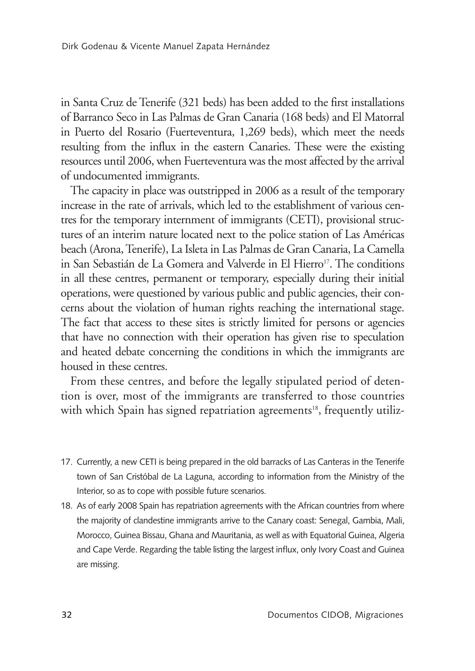in Santa Cruz de Tenerife (321 beds) has been added to the first installations of Barranco Seco in Las Palmas de Gran Canaria (168 beds) and El Matorral in Puerto del Rosario (Fuerteventura, 1,269 beds), which meet the needs resulting from the influx in the eastern Canaries. These were the existing resources until 2006, when Fuerteventura was the most affected by the arrival of undocumented immigrants.

The capacity in place was outstripped in 2006 as a result of the temporary increase in the rate of arrivals, which led to the establishment of various centres for the temporary internment of immigrants (CETI), provisional structures of an interim nature located next to the police station of Las Américas beach (Arona, Tenerife), La Isleta in Las Palmas de Gran Canaria, La Camella in San Sebastián de La Gomera and Valverde in El Hierro<sup>17</sup>. The conditions in all these centres, permanent or temporary, especially during their initial operations, were questioned by various public and public agencies, their concerns about the violation of human rights reaching the international stage. The fact that access to these sites is strictly limited for persons or agencies that have no connection with their operation has given rise to speculation and heated debate concerning the conditions in which the immigrants are housed in these centres.

From these centres, and before the legally stipulated period of detention is over, most of the immigrants are transferred to those countries with which Spain has signed repatriation agreements<sup>18</sup>, frequently utiliz-

- 17. Currently, a new CETI is being prepared in the old barracks of Las Canteras in the Tenerife town of San Cristóbal de La Laguna, according to information from the Ministry of the Interior, so as to cope with possible future scenarios.
- 18. As of early 2008 Spain has repatriation agreements with the African countries from where the majority of clandestine immigrants arrive to the Canary coast: Senegal, Gambia, Mali, Morocco, Guinea Bissau, Ghana and Mauritania, as well as with Equatorial Guinea, Algeria and Cape Verde. Regarding the table listing the largest influx, only Ivory Coast and Guinea are missing.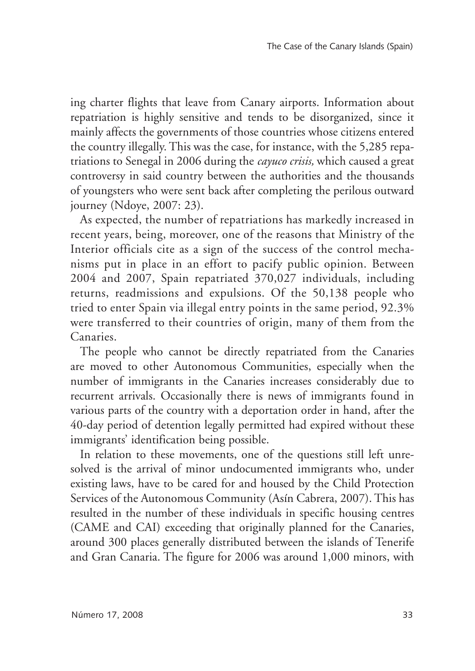ing charter flights that leave from Canary airports. Information about repatriation is highly sensitive and tends to be disorganized, since it mainly affects the governments of those countries whose citizens entered the country illegally. This was the case, for instance, with the 5,285 repatriations to Senegal in 2006 during the *cayuco crisis,* which caused a great controversy in said country between the authorities and the thousands of youngsters who were sent back after completing the perilous outward journey (Ndoye, 2007: 23).

As expected, the number of repatriations has markedly increased in recent years, being, moreover, one of the reasons that Ministry of the Interior officials cite as a sign of the success of the control mechanisms put in place in an effort to pacify public opinion. Between 2004 and 2007, Spain repatriated 370,027 individuals, including returns, readmissions and expulsions. Of the 50,138 people who tried to enter Spain via illegal entry points in the same period, 92.3% were transferred to their countries of origin, many of them from the Canaries.

The people who cannot be directly repatriated from the Canaries are moved to other Autonomous Communities, especially when the number of immigrants in the Canaries increases considerably due to recurrent arrivals. Occasionally there is news of immigrants found in various parts of the country with a deportation order in hand, after the 40-day period of detention legally permitted had expired without these immigrants' identification being possible.

In relation to these movements, one of the questions still left unresolved is the arrival of minor undocumented immigrants who, under existing laws, have to be cared for and housed by the Child Protection Services of the Autonomous Community (Asín Cabrera, 2007). This has resulted in the number of these individuals in specific housing centres (CAME and CAI) exceeding that originally planned for the Canaries, around 300 places generally distributed between the islands of Tenerife and Gran Canaria. The figure for 2006 was around 1,000 minors, with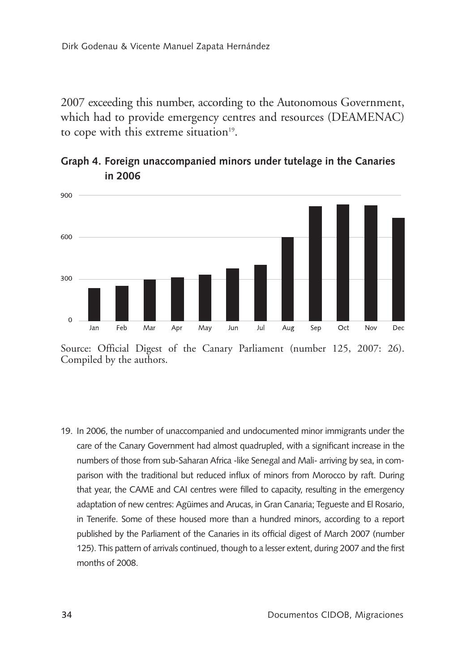2007 exceeding this number, according to the Autonomous Government, which had to provide emergency centres and resources (DEAMENAC) to cope with this extreme situation<sup>19</sup>.



#### **Graph 4. Foreign unaccompanied minors under tutelage in the Canaries in 2006**

19. In 2006, the number of unaccompanied and undocumented minor immigrants under the care of the Canary Government had almost quadrupled, with a significant increase in the numbers of those from sub-Saharan Africa -like Senegal and Mali- arriving by sea, in comparison with the traditional but reduced influx of minors from Morocco by raft. During that year, the CAME and CAI centres were filled to capacity, resulting in the emergency adaptation of new centres: Agüimes and Arucas, in Gran Canaria; Tegueste and El Rosario, in Tenerife. Some of these housed more than a hundred minors, according to a report published by the Parliament of the Canaries in its official digest of March 2007 (number 125). This pattern of arrivals continued, though to a lesser extent, during 2007 and the first months of 2008.

Source: Official Digest of the Canary Parliament (number 125, 2007: 26). Compiled by the authors.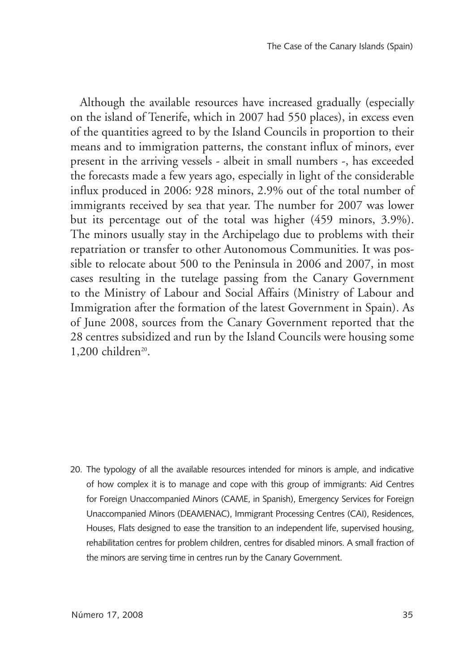Although the available resources have increased gradually (especially on the island of Tenerife, which in 2007 had 550 places), in excess even of the quantities agreed to by the Island Councils in proportion to their means and to immigration patterns, the constant influx of minors, ever present in the arriving vessels - albeit in small numbers -, has exceeded the forecasts made a few years ago, especially in light of the considerable influx produced in 2006: 928 minors, 2.9% out of the total number of immigrants received by sea that year. The number for 2007 was lower but its percentage out of the total was higher (459 minors, 3.9%). The minors usually stay in the Archipelago due to problems with their repatriation or transfer to other Autonomous Communities. It was possible to relocate about 500 to the Peninsula in 2006 and 2007, in most cases resulting in the tutelage passing from the Canary Government to the Ministry of Labour and Social Affairs (Ministry of Labour and Immigration after the formation of the latest Government in Spain). As of June 2008, sources from the Canary Government reported that the 28 centres subsidized and run by the Island Councils were housing some  $1,200$  children<sup>20</sup>.

20. The typology of all the available resources intended for minors is ample, and indicative of how complex it is to manage and cope with this group of immigrants: Aid Centres for Foreign Unaccompanied Minors (CAME, in Spanish), Emergency Services for Foreign Unaccompanied Minors (DEAMENAC), Immigrant Processing Centres (CAI), Residences, Houses, Flats designed to ease the transition to an independent life, supervised housing, rehabilitation centres for problem children, centres for disabled minors. A small fraction of the minors are serving time in centres run by the Canary Government.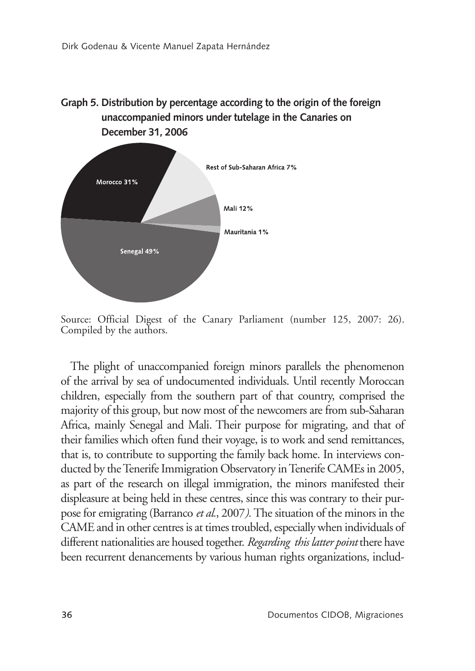



Source: Official Digest of the Canary Parliament (number 125, 2007: 26). Compiled by the authors.

The plight of unaccompanied foreign minors parallels the phenomenon of the arrival by sea of undocumented individuals. Until recently Moroccan children, especially from the southern part of that country, comprised the majority of this group, but now most of the newcomers are from sub-Saharan Africa, mainly Senegal and Mali. Their purpose for migrating, and that of their families which often fund their voyage, is to work and send remittances, that is, to contribute to supporting the family back home. In interviews conducted by the Tenerife Immigration Observatory in Tenerife CAMEs in 2005, as part of the research on illegal immigration, the minors manifested their displeasure at being held in these centres, since this was contrary to their purpose for emigrating (Barranco *et al.*, 2007*).* The situation of the minors in the CAME and in other centres is at times troubled, especially when individuals of different nationalities are housed together. *Regarding this latter point* there have been recurrent denancements by various human rights organizations, includ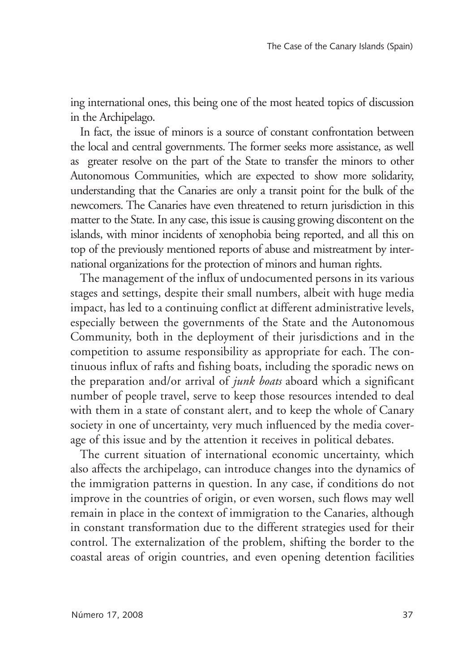ing international ones, this being one of the most heated topics of discussion in the Archipelago.

In fact, the issue of minors is a source of constant confrontation between the local and central governments. The former seeks more assistance, as well as greater resolve on the part of the State to transfer the minors to other Autonomous Communities, which are expected to show more solidarity, understanding that the Canaries are only a transit point for the bulk of the newcomers. The Canaries have even threatened to return jurisdiction in this matter to the State. In any case, this issue is causing growing discontent on the islands, with minor incidents of xenophobia being reported, and all this on top of the previously mentioned reports of abuse and mistreatment by international organizations for the protection of minors and human rights.

The management of the influx of undocumented persons in its various stages and settings, despite their small numbers, albeit with huge media impact, has led to a continuing conflict at different administrative levels, especially between the governments of the State and the Autonomous Community, both in the deployment of their jurisdictions and in the competition to assume responsibility as appropriate for each. The continuous influx of rafts and fishing boats, including the sporadic news on the preparation and/or arrival of *junk boats* aboard which a significant number of people travel, serve to keep those resources intended to deal with them in a state of constant alert, and to keep the whole of Canary society in one of uncertainty, very much influenced by the media coverage of this issue and by the attention it receives in political debates.

The current situation of international economic uncertainty, which also affects the archipelago, can introduce changes into the dynamics of the immigration patterns in question. In any case, if conditions do not improve in the countries of origin, or even worsen, such flows may well remain in place in the context of immigration to the Canaries, although in constant transformation due to the different strategies used for their control. The externalization of the problem, shifting the border to the coastal areas of origin countries, and even opening detention facilities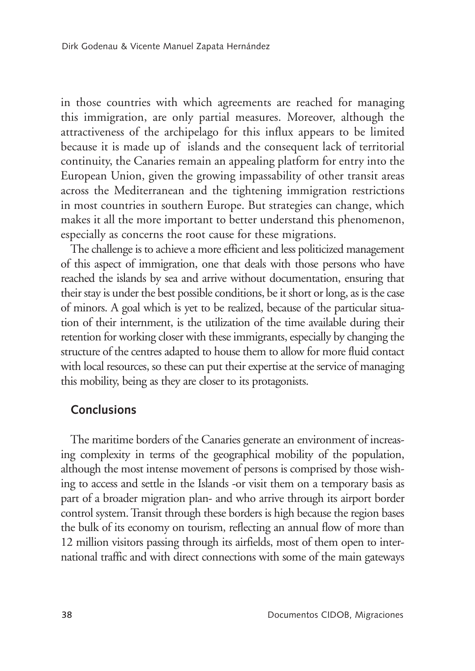in those countries with which agreements are reached for managing this immigration, are only partial measures. Moreover, although the attractiveness of the archipelago for this influx appears to be limited because it is made up of islands and the consequent lack of territorial continuity, the Canaries remain an appealing platform for entry into the European Union, given the growing impassability of other transit areas across the Mediterranean and the tightening immigration restrictions in most countries in southern Europe. But strategies can change, which makes it all the more important to better understand this phenomenon, especially as concerns the root cause for these migrations.

The challenge is to achieve a more efficient and less politicized management of this aspect of immigration, one that deals with those persons who have reached the islands by sea and arrive without documentation, ensuring that their stay is under the best possible conditions, be it short or long, as is the case of minors. A goal which is yet to be realized, because of the particular situation of their internment, is the utilization of the time available during their retention for working closer with these immigrants, especially by changing the structure of the centres adapted to house them to allow for more fluid contact with local resources, so these can put their expertise at the service of managing this mobility, being as they are closer to its protagonists.

#### **Conclusions**

The maritime borders of the Canaries generate an environment of increasing complexity in terms of the geographical mobility of the population, although the most intense movement of persons is comprised by those wishing to access and settle in the Islands -or visit them on a temporary basis as part of a broader migration plan- and who arrive through its airport border control system. Transit through these borders is high because the region bases the bulk of its economy on tourism, reflecting an annual flow of more than 12 million visitors passing through its airfields, most of them open to international traffic and with direct connections with some of the main gateways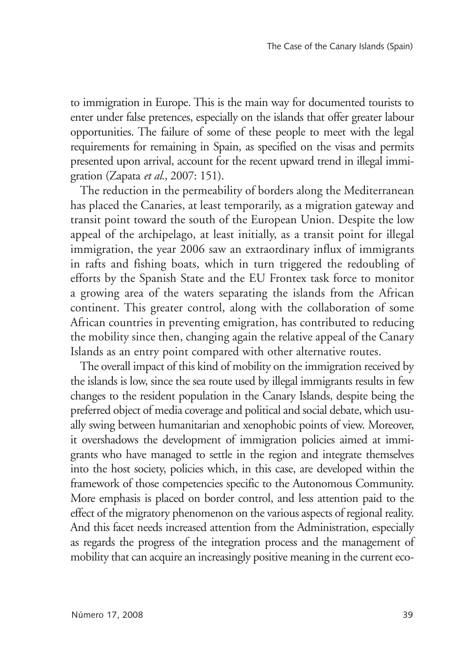to immigration in Europe. This is the main way for documented tourists to enter under false pretences, especially on the islands that offer greater labour opportunities. The failure of some of these people to meet with the legal requirements for remaining in Spain, as specified on the visas and permits presented upon arrival, account for the recent upward trend in illegal immigration (Zapata *et al.*, 2007: 151).

The reduction in the permeability of borders along the Mediterranean has placed the Canaries, at least temporarily, as a migration gateway and transit point toward the south of the European Union. Despite the low appeal of the archipelago, at least initially, as a transit point for illegal immigration, the year 2006 saw an extraordinary influx of immigrants in rafts and fishing boats, which in turn triggered the redoubling of efforts by the Spanish State and the EU Frontex task force to monitor a growing area of the waters separating the islands from the African continent. This greater control, along with the collaboration of some African countries in preventing emigration, has contributed to reducing the mobility since then, changing again the relative appeal of the Canary Islands as an entry point compared with other alternative routes.

The overall impact of this kind of mobility on the immigration received by the islands is low, since the sea route used by illegal immigrants results in few changes to the resident population in the Canary Islands, despite being the preferred object of media coverage and political and social debate, which usually swing between humanitarian and xenophobic points of view. Moreover, it overshadows the development of immigration policies aimed at immigrants who have managed to settle in the region and integrate themselves into the host society, policies which, in this case, are developed within the framework of those competencies specific to the Autonomous Community. More emphasis is placed on border control, and less attention paid to the effect of the migratory phenomenon on the various aspects of regional reality. And this facet needs increased attention from the Administration, especially as regards the progress of the integration process and the management of mobility that can acquire an increasingly positive meaning in the current eco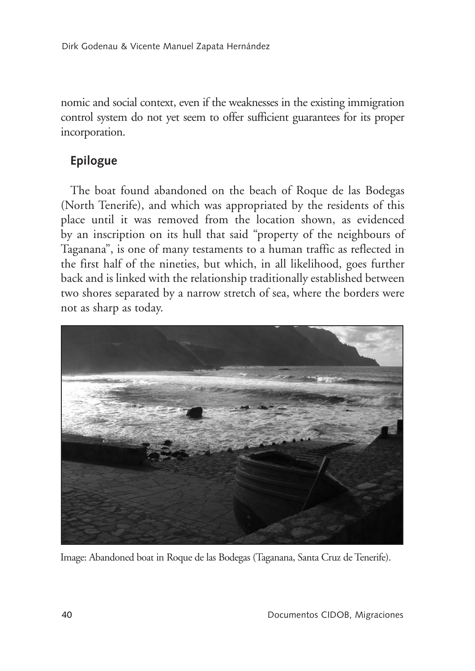nomic and social context, even if the weaknesses in the existing immigration control system do not yet seem to offer sufficient guarantees for its proper incorporation.

# **Epilogue**

The boat found abandoned on the beach of Roque de las Bodegas (North Tenerife), and which was appropriated by the residents of this place until it was removed from the location shown, as evidenced by an inscription on its hull that said "property of the neighbours of Taganana", is one of many testaments to a human traffic as reflected in the first half of the nineties, but which, in all likelihood, goes further back and is linked with the relationship traditionally established between two shores separated by a narrow stretch of sea, where the borders were not as sharp as today.



Image: Abandoned boat in Roque de las Bodegas (Taganana, Santa Cruz de Tenerife).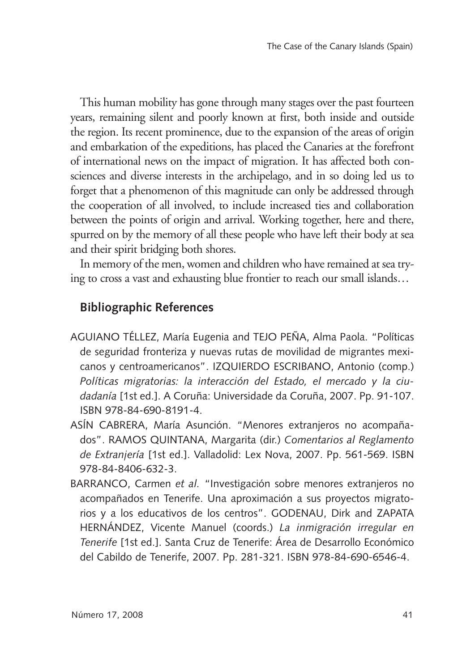This human mobility has gone through many stages over the past fourteen years, remaining silent and poorly known at first, both inside and outside the region. Its recent prominence, due to the expansion of the areas of origin and embarkation of the expeditions, has placed the Canaries at the forefront of international news on the impact of migration. It has affected both consciences and diverse interests in the archipelago, and in so doing led us to forget that a phenomenon of this magnitude can only be addressed through the cooperation of all involved, to include increased ties and collaboration between the points of origin and arrival. Working together, here and there, spurred on by the memory of all these people who have left their body at sea and their spirit bridging both shores.

In memory of the men, women and children who have remained at sea trying to cross a vast and exhausting blue frontier to reach our small islands…

# **Bibliographic References**

- AGUIANO TÉLLEZ, María Eugenia and TEJO PEÑA, Alma Paola. "Políticas de seguridad fronteriza y nuevas rutas de movilidad de migrantes mexicanos y centroamericanos". IZQUIERDO ESCRIBANO, Antonio (comp.) *Políticas migratorias: la interacción del Estado, el mercado y la ciudadanía* [1st ed.]. A Coruña: Universidade da Coruña, 2007. Pp. 91-107. ISBN 978-84-690-8191-4.
- ASÍN CABRERA, María Asunción. "Menores extranjeros no acompañados". RAMOS QUINTANA, Margarita (dir.) *Comentarios al Reglamento de Extranjería* [1st ed.]. Valladolid: Lex Nova, 2007. Pp. 561-569. ISBN 978-84-8406-632-3.
- BARRANCO, Carmen *et al.* "Investigación sobre menores extranjeros no acompañados en Tenerife. Una aproximación a sus proyectos migratorios y a los educativos de los centros". GODENAU, Dirk and ZAPATA HERNÁNDEZ, Vicente Manuel (coords.) *La inmigración irregular en Tenerife* [1st ed.]. Santa Cruz de Tenerife: Área de Desarrollo Económico del Cabildo de Tenerife, 2007. Pp. 281-321. ISBN 978-84-690-6546-4.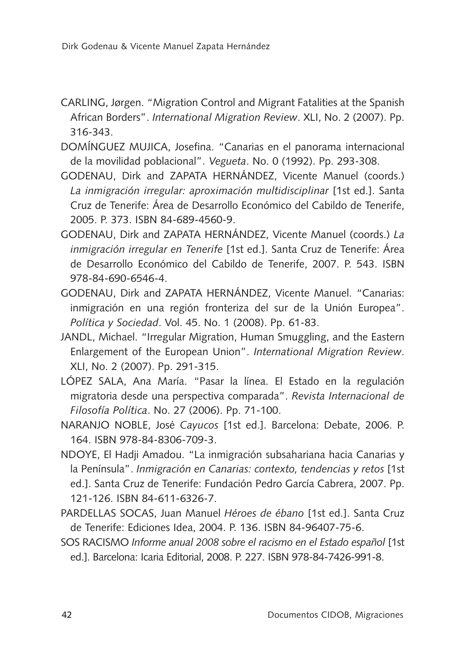- CARLING, Jørgen. "Migration Control and Migrant Fatalities at the Spanish African Borders". *International Migration Review*. XLI, No. 2 (2007). Pp. 316-343.
- DOMÍNGUEZ MUJICA, Josefina. "Canarias en el panorama internacional de la movilidad poblacional". *Vegueta*. No. 0 (1992). Pp. 293-308.
- GODENAU, Dirk and ZAPATA HERNÁNDEZ, Vicente Manuel (coords.) *La inmigración irregular: aproximación multidisciplinar* [1st ed.]. Santa Cruz de Tenerife: Área de Desarrollo Económico del Cabildo de Tenerife, 2005. P. 373. ISBN 84-689-4560-9.
- GODENAU, Dirk and ZAPATA HERNÁNDEZ, Vicente Manuel (coords.) *La inmigración irregular en Tenerife* [1st ed.]. Santa Cruz de Tenerife: Área de Desarrollo Económico del Cabildo de Tenerife, 2007. P. 543. ISBN 978-84-690-6546-4.
- GODENAU, Dirk and ZAPATA HERNÁNDEZ, Vicente Manuel. "Canarias: inmigración en una región fronteriza del sur de la Unión Europea". *Política y Sociedad*. Vol. 45. No. 1 (2008). Pp. 61-83.
- JANDL, Michael. "Irregular Migration, Human Smuggling, and the Eastern Enlargement of the European Union". *International Migration Review*. XLI, No. 2 (2007). Pp. 291-315.
- LÓPEZ SALA, Ana María. "Pasar la línea. El Estado en la regulación migratoria desde una perspectiva comparada". *Revista Internacional de Filosofía Política*. No. 27 (2006). Pp. 71-100.
- NARANJO NOBLE, José *Cayucos* [1st ed.]. Barcelona: Debate, 2006. P. 164. ISBN 978-84-8306-709-3.
- NDOYE, El Hadji Amadou. "La inmigración subsahariana hacia Canarias y la Península". *Inmigración en Canarias: contexto, tendencias y retos* [1st ed.]. Santa Cruz de Tenerife: Fundación Pedro García Cabrera, 2007. Pp. 121-126. ISBN 84-611-6326-7.
- PARDELLAS SOCAS, Juan Manuel *Héroes de ébano* [1st ed.]. Santa Cruz de Tenerife: Ediciones Idea, 2004. P. 136. ISBN 84-96407-75-6.
- SOS RACISMO *Informe anual 2008 sobre el racismo en el Estado español* [1st ed.]. Barcelona: Icaria Editorial, 2008. P. 227. ISBN 978-84-7426-991-8.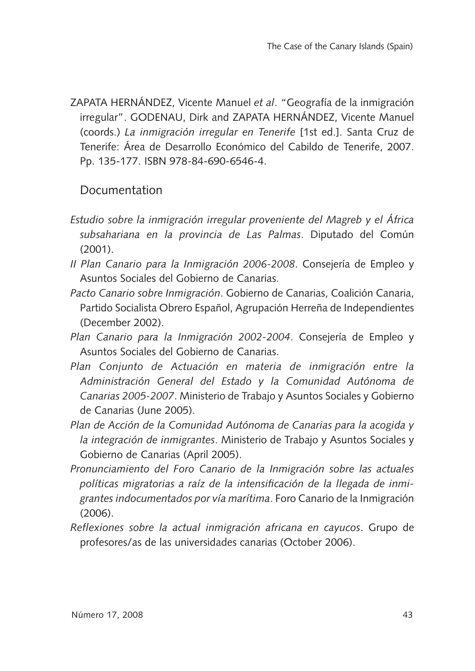ZAPATA HERNÁNDEZ, Vicente Manuel *et al*. "Geografía de la inmigración irregular". GODENAU, Dirk and ZAPATA HERNÁNDEZ, Vicente Manuel (coords.) *La inmigración irregular en Tenerife* [1st ed.]. Santa Cruz de Tenerife: Área de Desarrollo Económico del Cabildo de Tenerife, 2007. Pp. 135-177. ISBN 978-84-690-6546-4.

### Documentation

- *Estudio sobre la inmigración irregular proveniente del Magreb y el África subsahariana en la provincia de Las Palmas*. Diputado del Común (2001).
- *II Plan Canario para la Inmigración 2006-2008*. Consejería de Empleo y Asuntos Sociales del Gobierno de Canarias.
- *Pacto Canario sobre Inmigración*. Gobierno de Canarias, Coalición Canaria, Partido Socialista Obrero Español, Agrupación Herreña de Independientes (December 2002).
- *Plan Canario para la Inmigración 2002-2004*. Consejería de Empleo y Asuntos Sociales del Gobierno de Canarias.
- *Plan Conjunto de Actuación en materia de inmigración entre la Administración General del Estado y la Comunidad Autónoma de Canarias 2005-2007*. Ministerio de Trabajo y Asuntos Sociales y Gobierno de Canarias (June 2005).
- *Plan de Acción de la Comunidad Autónoma de Canarias para la acogida y la integración de inmigrantes*. Ministerio de Trabajo y Asuntos Sociales y Gobierno de Canarias (April 2005).
- *Pronunciamiento del Foro Canario de la Inmigración sobre las actuales políticas migratorias a raíz de la intensificación de la llegada de inmigrantes indocumentados por vía marítima*. Foro Canario de la Inmigración  $(2006)$ .
- *Reflexiones sobre la actual inmigración africana en cayucos*. Grupo de profesores/as de las universidades canarias (October 2006).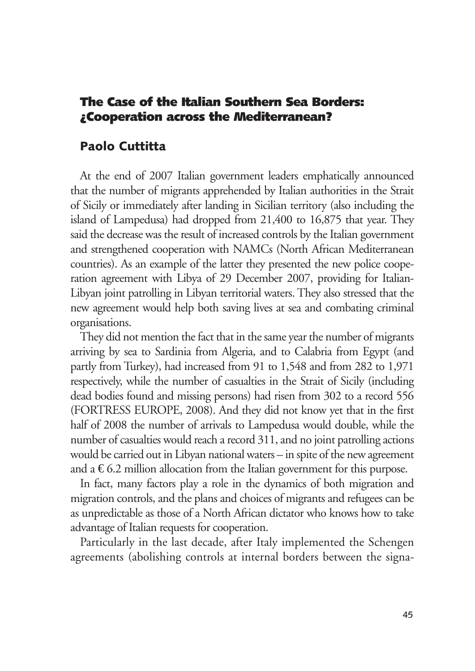### The Case of the Italian Southern Sea Borders: ¿Cooperation across the Mediterranean?

#### Paolo Cuttitta

At the end of 2007 Italian government leaders emphatically announced that the number of migrants apprehended by Italian authorities in the Strait of Sicily or immediately after landing in Sicilian territory (also including the island of Lampedusa) had dropped from 21,400 to 16,875 that year. They said the decrease was the result of increased controls by the Italian government and strengthened cooperation with NAMCs (North African Mediterranean countries). As an example of the latter they presented the new police cooperation agreement with Libya of 29 December 2007, providing for Italian-Libyan joint patrolling in Libyan territorial waters. They also stressed that the new agreement would help both saving lives at sea and combating criminal organisations.

They did not mention the fact that in the same year the number of migrants arriving by sea to Sardinia from Algeria, and to Calabria from Egypt (and partly from Turkey), had increased from 91 to 1,548 and from 282 to 1,971 respectively, while the number of casualties in the Strait of Sicily (including dead bodies found and missing persons) had risen from 302 to a record 556 (FORTRESS EUROPE, 2008). And they did not know yet that in the first half of 2008 the number of arrivals to Lampedusa would double, while the number of casualties would reach a record 311, and no joint patrolling actions would be carried out in Libyan national waters – in spite of the new agreement and a  $\epsilon$ 6.2 million allocation from the Italian government for this purpose.

In fact, many factors play a role in the dynamics of both migration and migration controls, and the plans and choices of migrants and refugees can be as unpredictable as those of a North African dictator who knows how to take advantage of Italian requests for cooperation.

Particularly in the last decade, after Italy implemented the Schengen agreements (abolishing controls at internal borders between the signa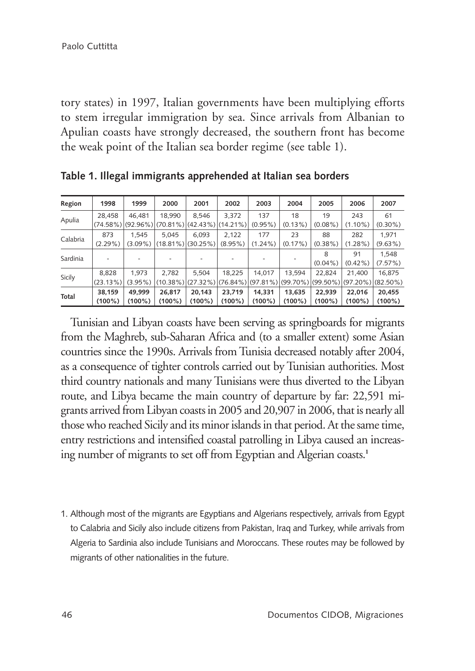tory states) in 1997, Italian governments have been multiplying efforts to stem irregular immigration by sea. Since arrivals from Albanian to Apulian coasts have strongly decreased, the southern front has become the weak point of the Italian sea border regime (see table 1).

| Region   | 1998        | 1999       | 2000                                                        | 2001      | 2002       | 2003                                                                                            | 2004       | 2005       | 2006       | 2007       |
|----------|-------------|------------|-------------------------------------------------------------|-----------|------------|-------------------------------------------------------------------------------------------------|------------|------------|------------|------------|
| Apulia   | 28.458      | 46.481     | 18.990                                                      | 8.546     | 3.372      | 137                                                                                             | 18         | 19         | 243        | 61         |
|          |             |            | $(74.58\%)$ $(92.96\%)$ $(70.81\%)$ $(42.43\%)$ $(14.21\%)$ |           |            | $(0.95\%)$                                                                                      | $(0.13\%)$ | $(0.08\%)$ | $(1.10\%)$ | $(0.30\%)$ |
| Calabria | 873         | 1.545      | 5.045                                                       | 6.093     | 2.122      | 177                                                                                             | 23         | 88         | 282        | 1.971      |
|          | $(2.29\%)$  |            | $(3.09\%)$ $(18.81\%)$ $(30.25\%)$                          |           | $(8.95\%)$ | $(1.24\%)$                                                                                      | (0.17%)    | $(0.38\%)$ | $(1.28\%)$ | $(9.63\%)$ |
| Sardinia |             |            |                                                             |           |            |                                                                                                 |            | 8          | 91         | 1.548      |
|          |             |            |                                                             |           |            |                                                                                                 |            | $(0.04\%)$ | $(0.42\%)$ | (7.57%)    |
| Sicily   | 8.828       | 1.973      | 2.782                                                       | 5.504     | 18.225     | 14.017                                                                                          | 13.594     | 22.824     | 21.400     | 16.875     |
|          | $(23.13\%)$ | $(3.95\%)$ |                                                             |           |            | $(10.38\%)$ $(27.32\%)$ $(76.84\%)$ $(97.81\%)$ $(99.70\%)$ $(99.50\%)$ $(97.20\%)$ $(82.50\%)$ |            |            |            |            |
| Total    | 38.159      | 49.999     | 26.817                                                      | 20.143    | 23.719     | 14.331                                                                                          | 13.635     | 22.939     | 22.016     | 20.455     |
|          | $(100\%)$   | $(100\%)$  | $(100\%)$                                                   | $(100\%)$ | $(100\%)$  | $(100\%)$                                                                                       | $(100\%)$  | $(100\%)$  | $(100\%)$  | $(100\%)$  |

**Table 1. Illegal immigrants apprehended at Italian sea borders**

Tunisian and Libyan coasts have been serving as springboards for migrants from the Maghreb, sub-Saharan Africa and (to a smaller extent) some Asian countries since the 1990s. Arrivals from Tunisia decreased notably after 2004, as a consequence of tighter controls carried out by Tunisian authorities. Most third country nationals and many Tunisians were thus diverted to the Libyan route, and Libya became the main country of departure by far: 22,591 migrants arrived from Libyan coasts in 2005 and 20,907 in 2006, that is nearly all those who reached Sicily and its minor islands in that period. At the same time, entry restrictions and intensified coastal patrolling in Libya caused an increasing number of migrants to set off from Egyptian and Algerian coasts.**<sup>1</sup>**

1. Although most of the migrants are Egyptians and Algerians respectively, arrivals from Egypt to Calabria and Sicily also include citizens from Pakistan, Iraq and Turkey, while arrivals from Algeria to Sardinia also include Tunisians and Moroccans. These routes may be followed by migrants of other nationalities in the future.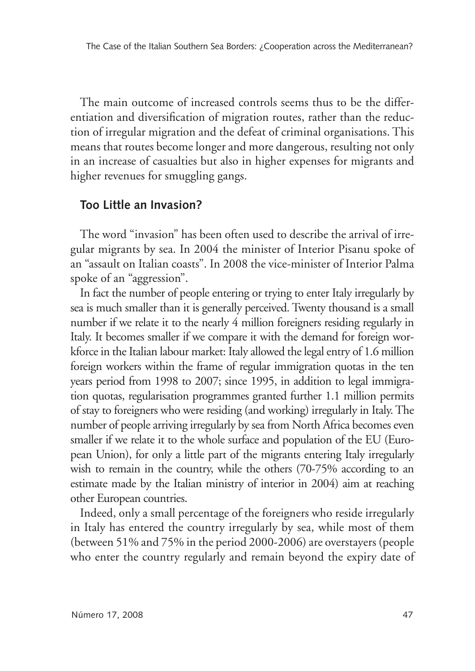The main outcome of increased controls seems thus to be the differentiation and diversification of migration routes, rather than the reduction of irregular migration and the defeat of criminal organisations. This means that routes become longer and more dangerous, resulting not only in an increase of casualties but also in higher expenses for migrants and higher revenues for smuggling gangs.

#### **Too Little an Invasion?**

The word "invasion" has been often used to describe the arrival of irregular migrants by sea. In 2004 the minister of Interior Pisanu spoke of an "assault on Italian coasts". In 2008 the vice-minister of Interior Palma spoke of an "aggression".

In fact the number of people entering or trying to enter Italy irregularly by sea is much smaller than it is generally perceived. Twenty thousand is a small number if we relate it to the nearly 4 million foreigners residing regularly in Italy. It becomes smaller if we compare it with the demand for foreign workforce in the Italian labour market: Italy allowed the legal entry of 1.6 million foreign workers within the frame of regular immigration quotas in the ten years period from 1998 to 2007; since 1995, in addition to legal immigration quotas, regularisation programmes granted further 1.1 million permits of stay to foreigners who were residing (and working) irregularly in Italy. The number of people arriving irregularly by sea from North Africa becomes even smaller if we relate it to the whole surface and population of the EU (European Union), for only a little part of the migrants entering Italy irregularly wish to remain in the country, while the others (70-75% according to an estimate made by the Italian ministry of interior in 2004) aim at reaching other European countries.

Indeed, only a small percentage of the foreigners who reside irregularly in Italy has entered the country irregularly by sea, while most of them (between 51% and 75% in the period 2000-2006) are overstayers (people who enter the country regularly and remain beyond the expiry date of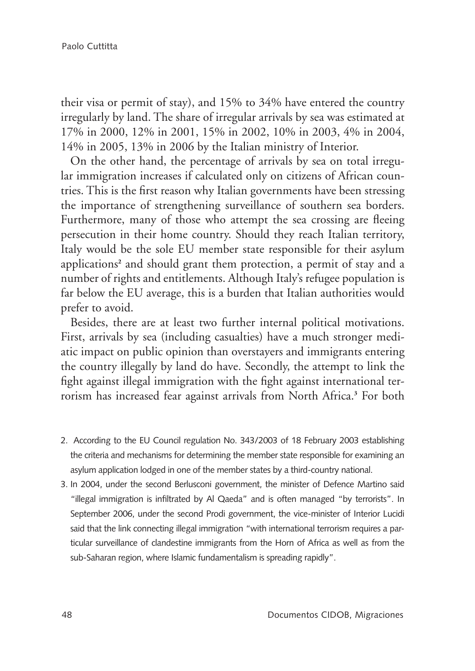their visa or permit of stay), and 15% to 34% have entered the country irregularly by land. The share of irregular arrivals by sea was estimated at 17% in 2000, 12% in 2001, 15% in 2002, 10% in 2003, 4% in 2004, 14% in 2005, 13% in 2006 by the Italian ministry of Interior.

On the other hand, the percentage of arrivals by sea on total irregular immigration increases if calculated only on citizens of African countries. This is the first reason why Italian governments have been stressing the importance of strengthening surveillance of southern sea borders. Furthermore, many of those who attempt the sea crossing are fleeing persecution in their home country. Should they reach Italian territory, Italy would be the sole EU member state responsible for their asylum applications**<sup>2</sup>** and should grant them protection, a permit of stay and a number of rights and entitlements. Although Italy's refugee population is far below the EU average, this is a burden that Italian authorities would prefer to avoid.

Besides, there are at least two further internal political motivations. First, arrivals by sea (including casualties) have a much stronger mediatic impact on public opinion than overstayers and immigrants entering the country illegally by land do have. Secondly, the attempt to link the fight against illegal immigration with the fight against international terrorism has increased fear against arrivals from North Africa.**<sup>3</sup>** For both

- 2. According to the EU Council regulation No. 343/2003 of 18 February 2003 establishing the criteria and mechanisms for determining the member state responsible for examining an asylum application lodged in one of the member states by a third-country national.
- 3. In 2004, under the second Berlusconi government, the minister of Defence Martino said "illegal immigration is infiltrated by Al Qaeda" and is often managed "by terrorists". In September 2006, under the second Prodi government, the vice-minister of Interior Lucidi said that the link connecting illegal immigration "with international terrorism requires a particular surveillance of clandestine immigrants from the Horn of Africa as well as from the sub-Saharan region, where Islamic fundamentalism is spreading rapidly".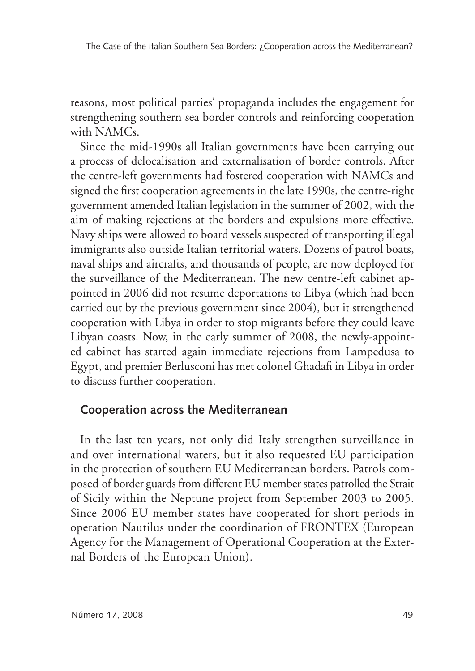reasons, most political parties' propaganda includes the engagement for strengthening southern sea border controls and reinforcing cooperation with NAMCs.

Since the mid-1990s all Italian governments have been carrying out a process of delocalisation and externalisation of border controls. After the centre-left governments had fostered cooperation with NAMCs and signed the first cooperation agreements in the late 1990s, the centre-right government amended Italian legislation in the summer of 2002, with the aim of making rejections at the borders and expulsions more effective. Navy ships were allowed to board vessels suspected of transporting illegal immigrants also outside Italian territorial waters. Dozens of patrol boats, naval ships and aircrafts, and thousands of people, are now deployed for the surveillance of the Mediterranean. The new centre-left cabinet appointed in 2006 did not resume deportations to Libya (which had been carried out by the previous government since 2004), but it strengthened cooperation with Libya in order to stop migrants before they could leave Libyan coasts. Now, in the early summer of 2008, the newly-appointed cabinet has started again immediate rejections from Lampedusa to Egypt, and premier Berlusconi has met colonel Ghadafi in Libya in order to discuss further cooperation.

### **Cooperation across the Mediterranean**

In the last ten years, not only did Italy strengthen surveillance in and over international waters, but it also requested EU participation in the protection of southern EU Mediterranean borders. Patrols composed of border guards from different EU member states patrolled the Strait of Sicily within the Neptune project from September 2003 to 2005. Since 2006 EU member states have cooperated for short periods in operation Nautilus under the coordination of FRONTEX (European Agency for the Management of Operational Cooperation at the External Borders of the European Union).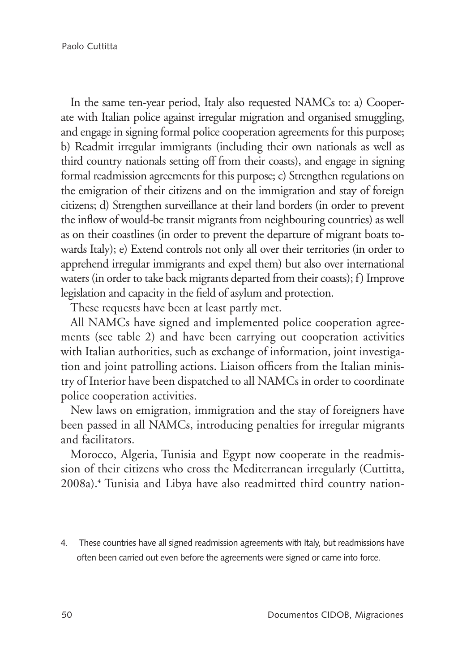In the same ten-year period, Italy also requested NAMCs to: a) Cooperate with Italian police against irregular migration and organised smuggling, and engage in signing formal police cooperation agreements for this purpose; b) Readmit irregular immigrants (including their own nationals as well as third country nationals setting off from their coasts), and engage in signing formal readmission agreements for this purpose; c) Strengthen regulations on the emigration of their citizens and on the immigration and stay of foreign citizens; d) Strengthen surveillance at their land borders (in order to prevent the inflow of would-be transit migrants from neighbouring countries) as well as on their coastlines (in order to prevent the departure of migrant boats towards Italy); e) Extend controls not only all over their territories (in order to apprehend irregular immigrants and expel them) but also over international waters (in order to take back migrants departed from their coasts); f) Improve legislation and capacity in the field of asylum and protection.

These requests have been at least partly met.

All NAMCs have signed and implemented police cooperation agreements (see table 2) and have been carrying out cooperation activities with Italian authorities, such as exchange of information, joint investigation and joint patrolling actions. Liaison officers from the Italian ministry of Interior have been dispatched to all NAMCs in order to coordinate police cooperation activities.

New laws on emigration, immigration and the stay of foreigners have been passed in all NAMCs, introducing penalties for irregular migrants and facilitators.

Morocco, Algeria, Tunisia and Egypt now cooperate in the readmission of their citizens who cross the Mediterranean irregularly (Cuttitta, 2008a).**<sup>4</sup>** Tunisia and Libya have also readmitted third country nation-

4. These countries have all signed readmission agreements with Italy, but readmissions have often been carried out even before the agreements were signed or came into force.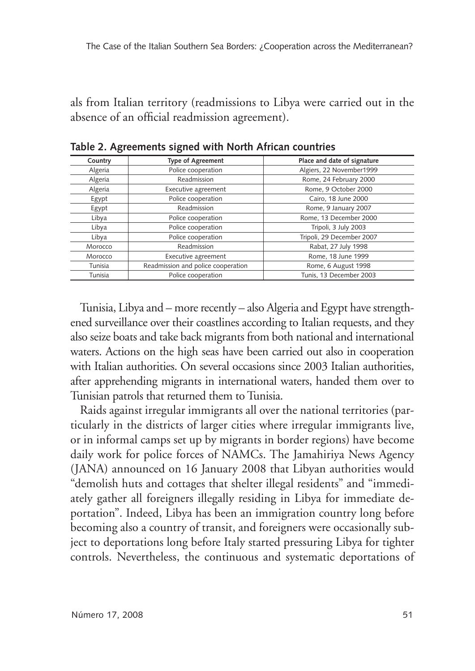als from Italian territory (readmissions to Libya were carried out in the absence of an official readmission agreement).

| Country | <b>Type of Agreement</b>           | Place and date of signature |  |  |  |
|---------|------------------------------------|-----------------------------|--|--|--|
| Algeria | Police cooperation                 | Algiers, 22 November1999    |  |  |  |
| Algeria | Readmission                        | Rome, 24 February 2000      |  |  |  |
| Algeria | Executive agreement                | Rome, 9 October 2000        |  |  |  |
| Egypt   | Police cooperation                 | Cairo, 18 June 2000         |  |  |  |
| Egypt   | Readmission                        | Rome, 9 January 2007        |  |  |  |
| Libya   | Police cooperation                 | Rome, 13 December 2000      |  |  |  |
| Libya   | Police cooperation                 | Tripoli, 3 July 2003        |  |  |  |
| Libya   | Police cooperation                 | Tripoli, 29 December 2007   |  |  |  |
| Morocco | Readmission                        | Rabat, 27 July 1998         |  |  |  |
| Morocco | Executive agreement                | Rome, 18 June 1999          |  |  |  |
| Tunisia | Readmission and police cooperation | Rome, 6 August 1998         |  |  |  |
| Tunisia | Police cooperation                 | Tunis, 13 December 2003     |  |  |  |

**Table 2. Agreements signed with North African countries**

Tunisia, Libya and – more recently – also Algeria and Egypt have strengthened surveillance over their coastlines according to Italian requests, and they also seize boats and take back migrants from both national and international waters. Actions on the high seas have been carried out also in cooperation with Italian authorities. On several occasions since 2003 Italian authorities, after apprehending migrants in international waters, handed them over to Tunisian patrols that returned them to Tunisia.

Raids against irregular immigrants all over the national territories (particularly in the districts of larger cities where irregular immigrants live, or in informal camps set up by migrants in border regions) have become daily work for police forces of NAMCs. The Jamahiriya News Agency (JANA) announced on 16 January 2008 that Libyan authorities would "demolish huts and cottages that shelter illegal residents" and "immediately gather all foreigners illegally residing in Libya for immediate deportation". Indeed, Libya has been an immigration country long before becoming also a country of transit, and foreigners were occasionally subject to deportations long before Italy started pressuring Libya for tighter controls. Nevertheless, the continuous and systematic deportations of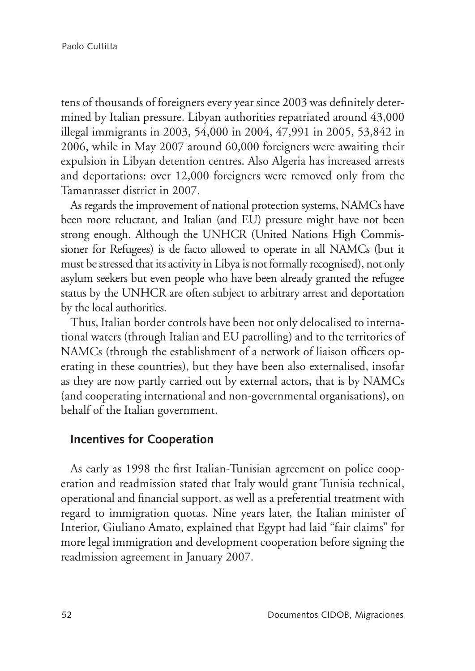tens of thousands of foreigners every year since 2003 was definitely determined by Italian pressure. Libyan authorities repatriated around 43,000 illegal immigrants in 2003, 54,000 in 2004, 47,991 in 2005, 53,842 in 2006, while in May 2007 around 60,000 foreigners were awaiting their expulsion in Libyan detention centres. Also Algeria has increased arrests and deportations: over 12,000 foreigners were removed only from the Tamanrasset district in 2007.

As regards the improvement of national protection systems, NAMCs have been more reluctant, and Italian (and EU) pressure might have not been strong enough. Although the UNHCR (United Nations High Commissioner for Refugees) is de facto allowed to operate in all NAMCs (but it must be stressed that its activity in Libya is not formally recognised), not only asylum seekers but even people who have been already granted the refugee status by the UNHCR are often subject to arbitrary arrest and deportation by the local authorities.

Thus, Italian border controls have been not only delocalised to international waters (through Italian and EU patrolling) and to the territories of NAMCs (through the establishment of a network of liaison officers operating in these countries), but they have been also externalised, insofar as they are now partly carried out by external actors, that is by NAMCs (and cooperating international and non-governmental organisations), on behalf of the Italian government.

#### **Incentives for Cooperation**

As early as 1998 the first Italian-Tunisian agreement on police cooperation and readmission stated that Italy would grant Tunisia technical, operational and financial support, as well as a preferential treatment with regard to immigration quotas. Nine years later, the Italian minister of Interior, Giuliano Amato, explained that Egypt had laid "fair claims" for more legal immigration and development cooperation before signing the readmission agreement in January 2007.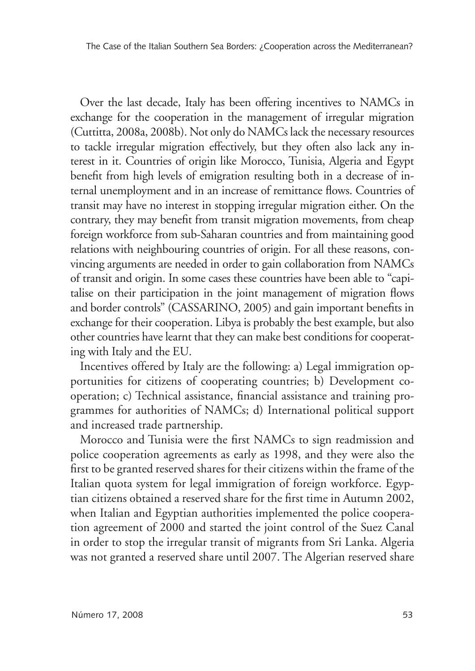Over the last decade, Italy has been offering incentives to NAMCs in exchange for the cooperation in the management of irregular migration (Cuttitta, 2008a, 2008b). Not only do NAMCs lack the necessary resources to tackle irregular migration effectively, but they often also lack any interest in it. Countries of origin like Morocco, Tunisia, Algeria and Egypt benefit from high levels of emigration resulting both in a decrease of internal unemployment and in an increase of remittance flows. Countries of transit may have no interest in stopping irregular migration either. On the contrary, they may benefit from transit migration movements, from cheap foreign workforce from sub-Saharan countries and from maintaining good relations with neighbouring countries of origin. For all these reasons, convincing arguments are needed in order to gain collaboration from NAMCs of transit and origin. In some cases these countries have been able to "capitalise on their participation in the joint management of migration flows and border controls" (CASSARINO, 2005) and gain important benefits in exchange for their cooperation. Libya is probably the best example, but also other countries have learnt that they can make best conditions for cooperating with Italy and the EU.

Incentives offered by Italy are the following: a) Legal immigration opportunities for citizens of cooperating countries; b) Development cooperation; c) Technical assistance, financial assistance and training programmes for authorities of NAMCs; d) International political support and increased trade partnership.

Morocco and Tunisia were the first NAMCs to sign readmission and police cooperation agreements as early as 1998, and they were also the first to be granted reserved shares for their citizens within the frame of the Italian quota system for legal immigration of foreign workforce. Egyptian citizens obtained a reserved share for the first time in Autumn 2002, when Italian and Egyptian authorities implemented the police cooperation agreement of 2000 and started the joint control of the Suez Canal in order to stop the irregular transit of migrants from Sri Lanka. Algeria was not granted a reserved share until 2007. The Algerian reserved share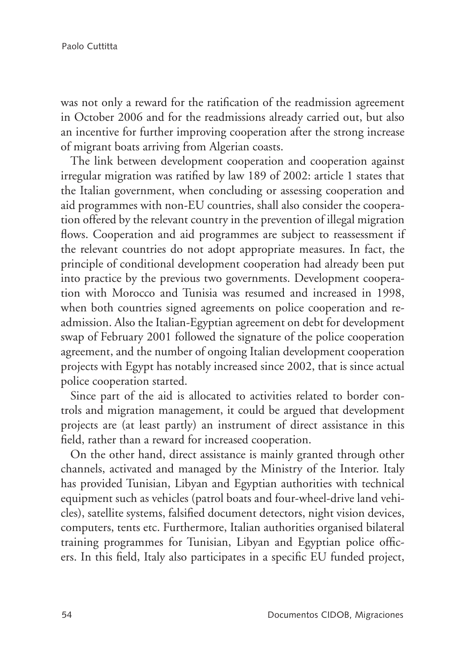was not only a reward for the ratification of the readmission agreement in October 2006 and for the readmissions already carried out, but also an incentive for further improving cooperation after the strong increase of migrant boats arriving from Algerian coasts.

The link between development cooperation and cooperation against irregular migration was ratified by law 189 of 2002: article 1 states that the Italian government, when concluding or assessing cooperation and aid programmes with non-EU countries, shall also consider the cooperation offered by the relevant country in the prevention of illegal migration flows. Cooperation and aid programmes are subject to reassessment if the relevant countries do not adopt appropriate measures. In fact, the principle of conditional development cooperation had already been put into practice by the previous two governments. Development cooperation with Morocco and Tunisia was resumed and increased in 1998, when both countries signed agreements on police cooperation and readmission. Also the Italian-Egyptian agreement on debt for development swap of February 2001 followed the signature of the police cooperation agreement, and the number of ongoing Italian development cooperation projects with Egypt has notably increased since 2002, that is since actual police cooperation started.

Since part of the aid is allocated to activities related to border controls and migration management, it could be argued that development projects are (at least partly) an instrument of direct assistance in this field, rather than a reward for increased cooperation.

On the other hand, direct assistance is mainly granted through other channels, activated and managed by the Ministry of the Interior. Italy has provided Tunisian, Libyan and Egyptian authorities with technical equipment such as vehicles (patrol boats and four-wheel-drive land vehicles), satellite systems, falsified document detectors, night vision devices, computers, tents etc. Furthermore, Italian authorities organised bilateral training programmes for Tunisian, Libyan and Egyptian police officers. In this field, Italy also participates in a specific EU funded project,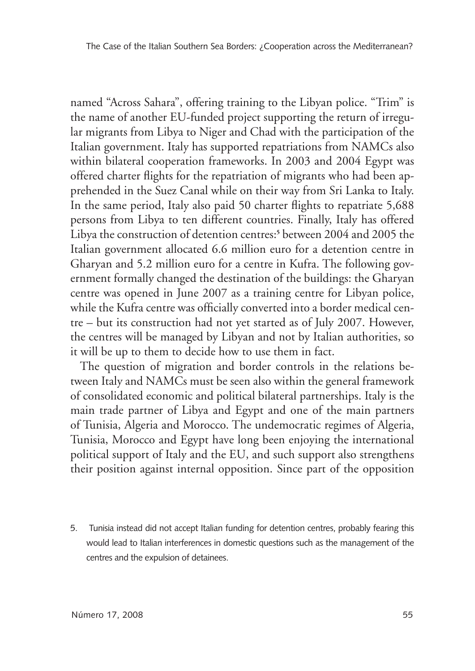named "Across Sahara", offering training to the Libyan police. "Trim" is the name of another EU-funded project supporting the return of irregular migrants from Libya to Niger and Chad with the participation of the Italian government. Italy has supported repatriations from NAMCs also within bilateral cooperation frameworks. In 2003 and 2004 Egypt was offered charter flights for the repatriation of migrants who had been apprehended in the Suez Canal while on their way from Sri Lanka to Italy. In the same period, Italy also paid 50 charter flights to repatriate 5,688 persons from Libya to ten different countries. Finally, Italy has offered Libya the construction of detention centres:**<sup>5</sup>** between 2004 and 2005 the Italian government allocated 6.6 million euro for a detention centre in Gharyan and 5.2 million euro for a centre in Kufra. The following government formally changed the destination of the buildings: the Gharyan centre was opened in June 2007 as a training centre for Libyan police, while the Kufra centre was officially converted into a border medical centre – but its construction had not yet started as of July 2007. However, the centres will be managed by Libyan and not by Italian authorities, so it will be up to them to decide how to use them in fact.

The question of migration and border controls in the relations between Italy and NAMCs must be seen also within the general framework of consolidated economic and political bilateral partnerships. Italy is the main trade partner of Libya and Egypt and one of the main partners of Tunisia, Algeria and Morocco. The undemocratic regimes of Algeria, Tunisia, Morocco and Egypt have long been enjoying the international political support of Italy and the EU, and such support also strengthens their position against internal opposition. Since part of the opposition

5. Tunisia instead did not accept Italian funding for detention centres, probably fearing this would lead to Italian interferences in domestic questions such as the management of the centres and the expulsion of detainees.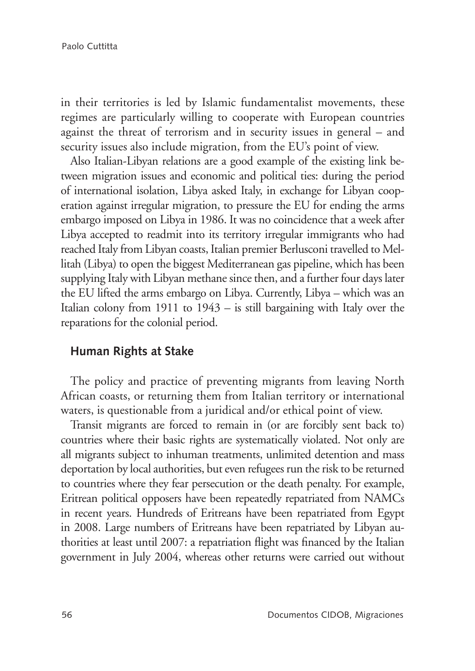in their territories is led by Islamic fundamentalist movements, these regimes are particularly willing to cooperate with European countries against the threat of terrorism and in security issues in general – and security issues also include migration, from the EU's point of view.

Also Italian-Libyan relations are a good example of the existing link between migration issues and economic and political ties: during the period of international isolation, Libya asked Italy, in exchange for Libyan cooperation against irregular migration, to pressure the EU for ending the arms embargo imposed on Libya in 1986. It was no coincidence that a week after Libya accepted to readmit into its territory irregular immigrants who had reached Italy from Libyan coasts, Italian premier Berlusconi travelled to Mellitah (Libya) to open the biggest Mediterranean gas pipeline, which has been supplying Italy with Libyan methane since then, and a further four days later the EU lifted the arms embargo on Libya. Currently, Libya – which was an Italian colony from 1911 to 1943 – is still bargaining with Italy over the reparations for the colonial period.

#### **Human Rights at Stake**

The policy and practice of preventing migrants from leaving North African coasts, or returning them from Italian territory or international waters, is questionable from a juridical and/or ethical point of view.

Transit migrants are forced to remain in (or are forcibly sent back to) countries where their basic rights are systematically violated. Not only are all migrants subject to inhuman treatments, unlimited detention and mass deportation by local authorities, but even refugees run the risk to be returned to countries where they fear persecution or the death penalty. For example, Eritrean political opposers have been repeatedly repatriated from NAMCs in recent years. Hundreds of Eritreans have been repatriated from Egypt in 2008. Large numbers of Eritreans have been repatriated by Libyan authorities at least until 2007: a repatriation flight was financed by the Italian government in July 2004, whereas other returns were carried out without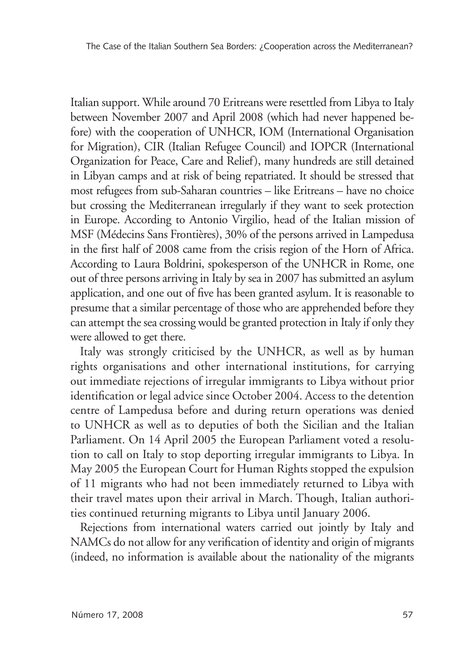Italian support. While around 70 Eritreans were resettled from Libya to Italy between November 2007 and April 2008 (which had never happened before) with the cooperation of UNHCR, IOM (International Organisation for Migration), CIR (Italian Refugee Council) and IOPCR (International Organization for Peace, Care and Relief), many hundreds are still detained in Libyan camps and at risk of being repatriated. It should be stressed that most refugees from sub-Saharan countries – like Eritreans – have no choice but crossing the Mediterranean irregularly if they want to seek protection in Europe. According to Antonio Virgilio, head of the Italian mission of MSF (Médecins Sans Frontières), 30% of the persons arrived in Lampedusa in the first half of 2008 came from the crisis region of the Horn of Africa. According to Laura Boldrini, spokesperson of the UNHCR in Rome, one out of three persons arriving in Italy by sea in 2007 has submitted an asylum application, and one out of five has been granted asylum. It is reasonable to presume that a similar percentage of those who are apprehended before they can attempt the sea crossing would be granted protection in Italy if only they were allowed to get there.

Italy was strongly criticised by the UNHCR, as well as by human rights organisations and other international institutions, for carrying out immediate rejections of irregular immigrants to Libya without prior identification or legal advice since October 2004. Access to the detention centre of Lampedusa before and during return operations was denied to UNHCR as well as to deputies of both the Sicilian and the Italian Parliament. On 14 April 2005 the European Parliament voted a resolution to call on Italy to stop deporting irregular immigrants to Libya. In May 2005 the European Court for Human Rights stopped the expulsion of 11 migrants who had not been immediately returned to Libya with their travel mates upon their arrival in March. Though, Italian authorities continued returning migrants to Libya until January 2006.

Rejections from international waters carried out jointly by Italy and NAMCs do not allow for any verification of identity and origin of migrants (indeed, no information is available about the nationality of the migrants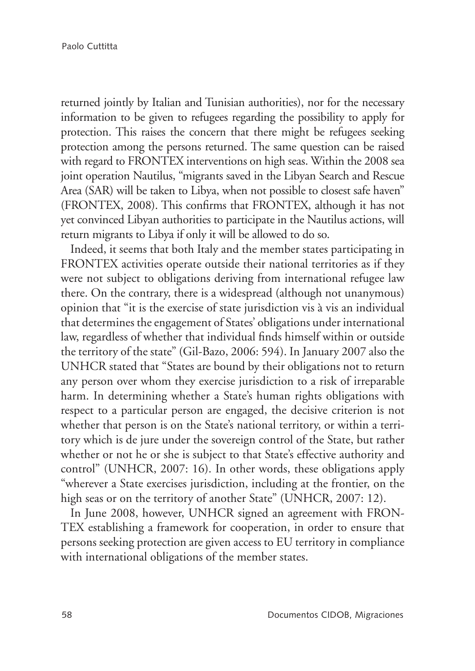returned jointly by Italian and Tunisian authorities), nor for the necessary information to be given to refugees regarding the possibility to apply for protection. This raises the concern that there might be refugees seeking protection among the persons returned. The same question can be raised with regard to FRONTEX interventions on high seas. Within the 2008 sea joint operation Nautilus, "migrants saved in the Libyan Search and Rescue Area (SAR) will be taken to Libya, when not possible to closest safe haven" (FRONTEX, 2008). This confirms that FRONTEX, although it has not yet convinced Libyan authorities to participate in the Nautilus actions, will return migrants to Libya if only it will be allowed to do so.

Indeed, it seems that both Italy and the member states participating in FRONTEX activities operate outside their national territories as if they were not subject to obligations deriving from international refugee law there. On the contrary, there is a widespread (although not unanymous) opinion that "it is the exercise of state jurisdiction vis à vis an individual that determines the engagement of States' obligations under international law, regardless of whether that individual finds himself within or outside the territory of the state" (Gil-Bazo, 2006: 594). In January 2007 also the UNHCR stated that "States are bound by their obligations not to return any person over whom they exercise jurisdiction to a risk of irreparable harm. In determining whether a State's human rights obligations with respect to a particular person are engaged, the decisive criterion is not whether that person is on the State's national territory, or within a territory which is de jure under the sovereign control of the State, but rather whether or not he or she is subject to that State's effective authority and control" (UNHCR, 2007: 16). In other words, these obligations apply "wherever a State exercises jurisdiction, including at the frontier, on the high seas or on the territory of another State" (UNHCR, 2007: 12).

In June 2008, however, UNHCR signed an agreement with FRON-TEX establishing a framework for cooperation, in order to ensure that persons seeking protection are given access to EU territory in compliance with international obligations of the member states.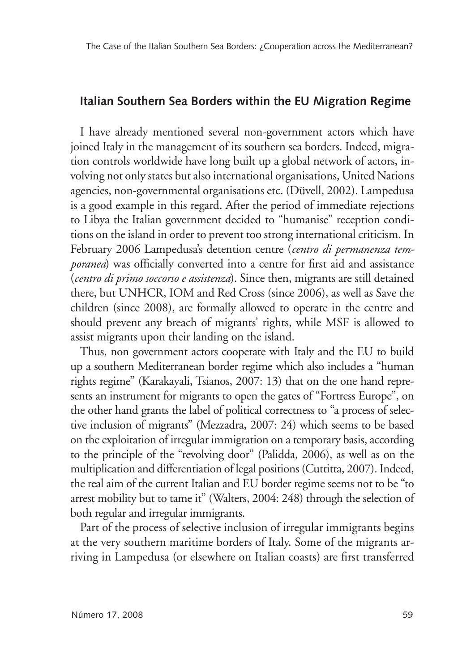#### **Italian Southern Sea Borders within the EU Migration Regime**

I have already mentioned several non-government actors which have joined Italy in the management of its southern sea borders. Indeed, migration controls worldwide have long built up a global network of actors, involving not only states but also international organisations, United Nations agencies, non-governmental organisations etc. (Düvell, 2002). Lampedusa is a good example in this regard. After the period of immediate rejections to Libya the Italian government decided to "humanise" reception conditions on the island in order to prevent too strong international criticism. In February 2006 Lampedusa's detention centre (*centro di permanenza temporanea*) was officially converted into a centre for first aid and assistance (*centro di primo soccorso e assistenza*). Since then, migrants are still detained there, but UNHCR, IOM and Red Cross (since 2006), as well as Save the children (since 2008), are formally allowed to operate in the centre and should prevent any breach of migrants' rights, while MSF is allowed to assist migrants upon their landing on the island.

Thus, non government actors cooperate with Italy and the EU to build up a southern Mediterranean border regime which also includes a "human rights regime" (Karakayali, Tsianos, 2007: 13) that on the one hand represents an instrument for migrants to open the gates of "Fortress Europe", on the other hand grants the label of political correctness to "a process of selective inclusion of migrants" (Mezzadra, 2007: 24) which seems to be based on the exploitation of irregular immigration on a temporary basis, according to the principle of the "revolving door" (Palidda, 2006), as well as on the multiplication and differentiation of legal positions (Cuttitta, 2007). Indeed, the real aim of the current Italian and EU border regime seems not to be "to arrest mobility but to tame it" (Walters, 2004: 248) through the selection of both regular and irregular immigrants.

Part of the process of selective inclusion of irregular immigrants begins at the very southern maritime borders of Italy. Some of the migrants arriving in Lampedusa (or elsewhere on Italian coasts) are first transferred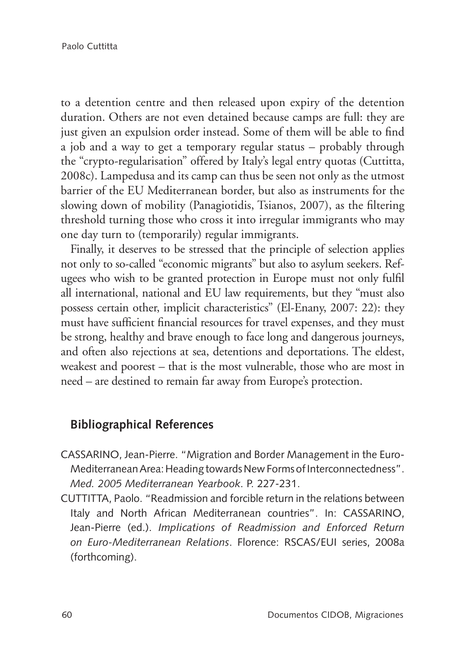to a detention centre and then released upon expiry of the detention duration. Others are not even detained because camps are full: they are just given an expulsion order instead. Some of them will be able to find a job and a way to get a temporary regular status – probably through the "crypto-regularisation" offered by Italy's legal entry quotas (Cuttitta, 2008c). Lampedusa and its camp can thus be seen not only as the utmost barrier of the EU Mediterranean border, but also as instruments for the slowing down of mobility (Panagiotidis, Tsianos, 2007), as the filtering threshold turning those who cross it into irregular immigrants who may one day turn to (temporarily) regular immigrants.

Finally, it deserves to be stressed that the principle of selection applies not only to so-called "economic migrants" but also to asylum seekers. Refugees who wish to be granted protection in Europe must not only fulfil all international, national and EU law requirements, but they "must also possess certain other, implicit characteristics" (El-Enany, 2007: 22): they must have sufficient financial resources for travel expenses, and they must be strong, healthy and brave enough to face long and dangerous journeys, and often also rejections at sea, detentions and deportations. The eldest, weakest and poorest – that is the most vulnerable, those who are most in need – are destined to remain far away from Europe's protection.

# **Bibliographical References**

CASSARINO, Jean-Pierre. "Migration and Border Management in the Euro-Mediterranean Area: Heading towards New Forms of Interconnectedness". *Med. 2005 Mediterranean Yearbook*. P. 227-231.

CUTTITTA, Paolo. "Readmission and forcible return in the relations between Italy and North African Mediterranean countries". In: CASSARINO, Jean-Pierre (ed.). *Implications of Readmission and Enforced Return on Euro-Mediterranean Relations*. Florence: RSCAS/EUI series, 2008a (forthcoming).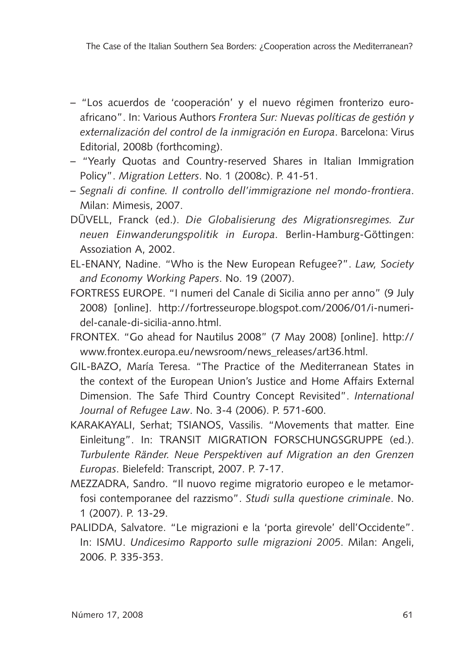- "Los acuerdos de 'cooperación' y el nuevo régimen fronterizo euroafricano". In: Various Authors *Frontera Sur: Nuevas políticas de gestión y externalización del control de la inmigración en Europa*. Barcelona: Virus Editorial, 2008b (forthcoming).
- "Yearly Quotas and Country-reserved Shares in Italian Immigration Policy". *Migration Letters*. No. 1 (2008c). P. 41-51.
- *Segnali di confine. Il controllo dell'immigrazione nel mondo-frontiera*. Milan: Mimesis, 2007.
- DÜVELL, Franck (ed.). *Die Globalisierung des Migrationsregimes. Zur neuen Einwanderungspolitik in Europa*. Berlin-Hamburg-Göttingen: Assoziation A, 2002.
- EL-ENANY, Nadine. "Who is the New European Refugee?". *Law, Society and Economy Working Papers*. No. 19 (2007).
- FORTRESS EUROPE. "I numeri del Canale di Sicilia anno per anno" (9 July 2008) [online]. http://fortresseurope.blogspot.com/2006/01/i-numeridel-canale-di-sicilia-anno.html.
- FRONTEX. "Go ahead for Nautilus 2008" (7 May 2008) [online]. http:// www.frontex.europa.eu/newsroom/news\_releases/art36.html.
- GIL-BAZO, María Teresa. "The Practice of the Mediterranean States in the context of the European Union's Justice and Home Affairs External Dimension. The Safe Third Country Concept Revisited". *International Journal of Refugee Law*. No. 3-4 (2006). P. 571-600.
- KARAKAYALI, Serhat; TSIANOS, Vassilis. "Movements that matter. Eine Einleitung". In: TRANSIT MIGRATION FORSCHUNGSGRUPPE (ed.). *Turbulente Ränder. Neue Perspektiven auf Migration an den Grenzen Europas*. Bielefeld: Transcript, 2007. P. 7-17.
- MEZZADRA, Sandro. "Il nuovo regime migratorio europeo e le metamorfosi contemporanee del razzismo". *Studi sulla questione criminale*. No. 1 (2007). P. 13-29.
- PALIDDA, Salvatore. "Le migrazioni e la 'porta girevole' dell'Occidente". In: ISMU. *Undicesimo Rapporto sulle migrazioni 2005*. Milan: Angeli, 2006. P. 335-353.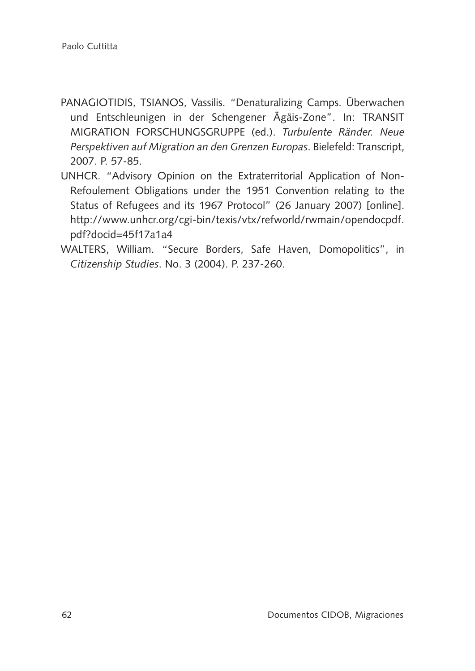- PANAGIOTIDIS, TSIANOS, Vassilis. "Denaturalizing Camps. Überwachen und Entschleunigen in der Schengener Ägäis-Zone". In: TRANSIT MIGRATION FORSCHUNGSGRUPPE (ed.). *Turbulente Ränder. Neue Perspektiven auf Migration an den Grenzen Europas*. Bielefeld: Transcript, 2007. P. 57-85.
- UNHCR. "Advisory Opinion on the Extraterritorial Application of Non-Refoulement Obligations under the 1951 Convention relating to the Status of Refugees and its 1967 Protocol" (26 January 2007) [online]. http://www.unhcr.org/cgi-bin/texis/vtx/refworld/rwmain/opendocpdf. pdf?docid=45f17a1a4
- WALTERS, William. "Secure Borders, Safe Haven, Domopolitics", in *Citizenship Studies*. No. 3 (2004). P. 237-260.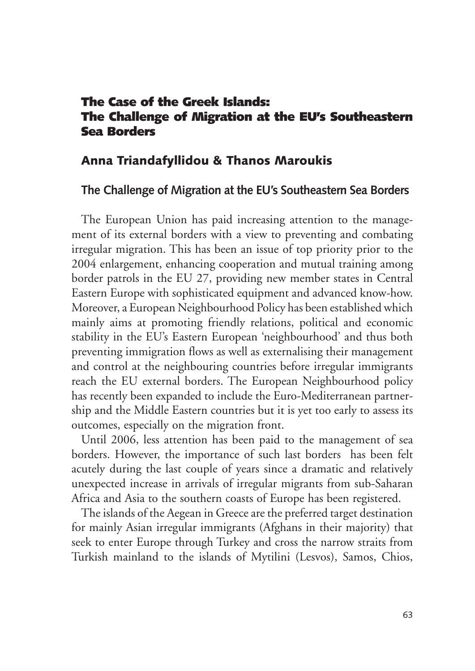# The Case of the Greek Islands: The Challenge of Migration at the EU's Southeastern Sea Borders

### Anna Triandafyllidou & Thanos Maroukis

### **The Challenge of Migration at the EU's Southeastern Sea Borders**

The European Union has paid increasing attention to the management of its external borders with a view to preventing and combating irregular migration. This has been an issue of top priority prior to the 2004 enlargement, enhancing cooperation and mutual training among border patrols in the EU 27, providing new member states in Central Eastern Europe with sophisticated equipment and advanced know-how. Moreover, a European Neighbourhood Policy has been established which mainly aims at promoting friendly relations, political and economic stability in the EU's Eastern European 'neighbourhood' and thus both preventing immigration flows as well as externalising their management and control at the neighbouring countries before irregular immigrants reach the EU external borders. The European Neighbourhood policy has recently been expanded to include the Euro-Mediterranean partnership and the Middle Eastern countries but it is yet too early to assess its outcomes, especially on the migration front.

Until 2006, less attention has been paid to the management of sea borders. However, the importance of such last borders has been felt acutely during the last couple of years since a dramatic and relatively unexpected increase in arrivals of irregular migrants from sub-Saharan Africa and Asia to the southern coasts of Europe has been registered.

The islands of the Aegean in Greece are the preferred target destination for mainly Asian irregular immigrants (Afghans in their majority) that seek to enter Europe through Turkey and cross the narrow straits from Turkish mainland to the islands of Mytilini (Lesvos), Samos, Chios,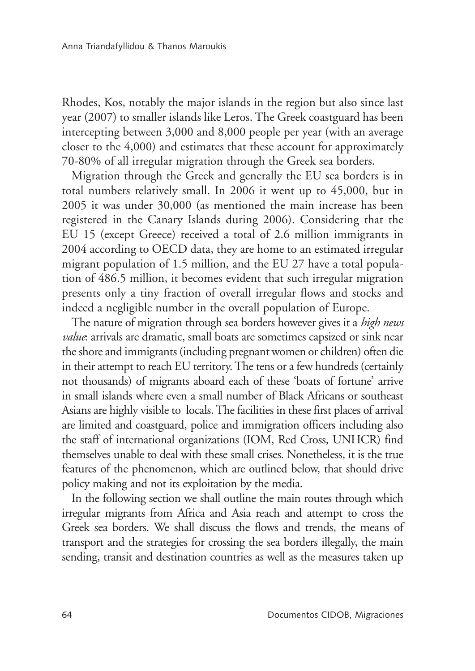Rhodes, Kos, notably the major islands in the region but also since last year (2007) to smaller islands like Leros. The Greek coastguard has been intercepting between 3,000 and 8,000 people per year (with an average closer to the 4,000) and estimates that these account for approximately 70-80% of all irregular migration through the Greek sea borders.

Migration through the Greek and generally the EU sea borders is in total numbers relatively small. In 2006 it went up to 45,000, but in 2005 it was under 30,000 (as mentioned the main increase has been registered in the Canary Islands during 2006). Considering that the EU 15 (except Greece) received a total of 2.6 million immigrants in 2004 according to OECD data, they are home to an estimated irregular migrant population of 1.5 million, and the EU 27 have a total population of 486.5 million, it becomes evident that such irregular migration presents only a tiny fraction of overall irregular flows and stocks and indeed a negligible number in the overall population of Europe.

The nature of migration through sea borders however gives it a *high news value*: arrivals are dramatic, small boats are sometimes capsized or sink near the shore and immigrants (including pregnant women or children) often die in their attempt to reach EU territory. The tens or a few hundreds (certainly not thousands) of migrants aboard each of these 'boats of fortune' arrive in small islands where even a small number of Black Africans or southeast Asians are highly visible to locals. The facilities in these first places of arrival are limited and coastguard, police and immigration officers including also the staff of international organizations (IOM, Red Cross, UNHCR) find themselves unable to deal with these small crises. Nonetheless, it is the true features of the phenomenon, which are outlined below, that should drive policy making and not its exploitation by the media.

In the following section we shall outline the main routes through which irregular migrants from Africa and Asia reach and attempt to cross the Greek sea borders. We shall discuss the flows and trends, the means of transport and the strategies for crossing the sea borders illegally, the main sending, transit and destination countries as well as the measures taken up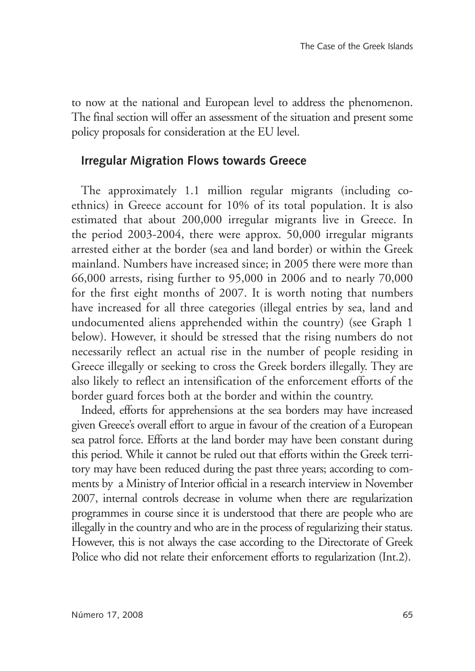to now at the national and European level to address the phenomenon. The final section will offer an assessment of the situation and present some policy proposals for consideration at the EU level.

# **Irregular Migration Flows towards Greece**

The approximately 1.1 million regular migrants (including coethnics) in Greece account for 10% of its total population. It is also estimated that about 200,000 irregular migrants live in Greece. In the period 2003-2004, there were approx. 50,000 irregular migrants arrested either at the border (sea and land border) or within the Greek mainland. Numbers have increased since; in 2005 there were more than 66,000 arrests, rising further to 95,000 in 2006 and to nearly 70,000 for the first eight months of 2007. It is worth noting that numbers have increased for all three categories (illegal entries by sea, land and undocumented aliens apprehended within the country) (see Graph 1 below). However, it should be stressed that the rising numbers do not necessarily reflect an actual rise in the number of people residing in Greece illegally or seeking to cross the Greek borders illegally. They are also likely to reflect an intensification of the enforcement efforts of the border guard forces both at the border and within the country.

Indeed, efforts for apprehensions at the sea borders may have increased given Greece's overall effort to argue in favour of the creation of a European sea patrol force. Efforts at the land border may have been constant during this period. While it cannot be ruled out that efforts within the Greek territory may have been reduced during the past three years; according to comments by a Ministry of Interior official in a research interview in November 2007, internal controls decrease in volume when there are regularization programmes in course since it is understood that there are people who are illegally in the country and who are in the process of regularizing their status. However, this is not always the case according to the Directorate of Greek Police who did not relate their enforcement efforts to regularization (Int.2).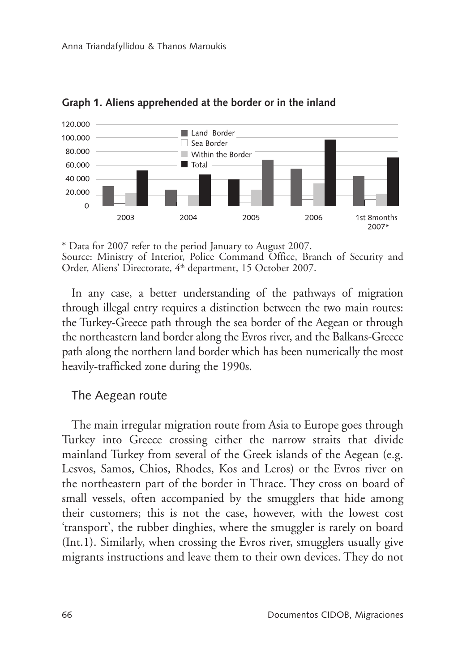

**Graph 1. Aliens apprehended at the border or in the inland**

In any case, a better understanding of the pathways of migration through illegal entry requires a distinction between the two main routes: the Turkey-Greece path through the sea border of the Aegean or through the northeastern land border along the Evros river, and the Balkans-Greece path along the northern land border which has been numerically the most heavily-trafficked zone during the 1990s.

#### The Aegean route

The main irregular migration route from Asia to Europe goes through Turkey into Greece crossing either the narrow straits that divide mainland Turkey from several of the Greek islands of the Aegean (e.g. Lesvos, Samos, Chios, Rhodes, Kos and Leros) or the Evros river on the northeastern part of the border in Thrace. They cross on board of small vessels, often accompanied by the smugglers that hide among their customers; this is not the case, however, with the lowest cost 'transport', the rubber dinghies, where the smuggler is rarely on board (Int.1). Similarly, when crossing the Evros river, smugglers usually give migrants instructions and leave them to their own devices. They do not

<sup>\*</sup> Data for 2007 refer to the period January to August 2007. Source: Ministry of Interior, Police Command Office, Branch of Security and Order, Aliens' Directorate, 4<sup>th</sup> department, 15 October 2007.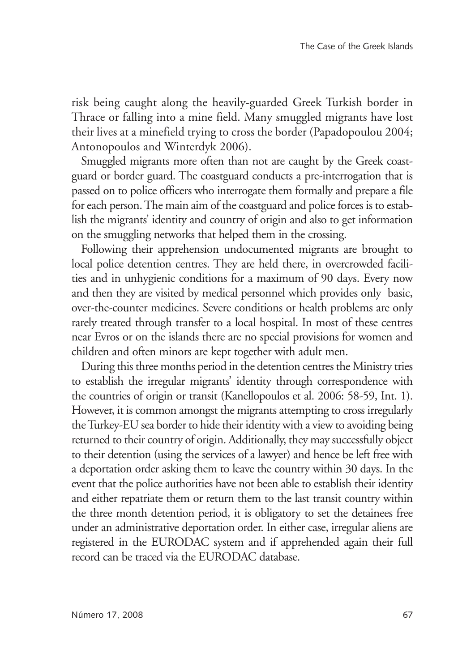risk being caught along the heavily-guarded Greek Turkish border in Thrace or falling into a mine field. Many smuggled migrants have lost their lives at a minefield trying to cross the border (Papadopoulou 2004; Antonopoulos and Winterdyk 2006).

Smuggled migrants more often than not are caught by the Greek coastguard or border guard. The coastguard conducts a pre-interrogation that is passed on to police officers who interrogate them formally and prepare a file for each person. The main aim of the coastguard and police forces is to establish the migrants' identity and country of origin and also to get information on the smuggling networks that helped them in the crossing.

Following their apprehension undocumented migrants are brought to local police detention centres. They are held there, in overcrowded facilities and in unhygienic conditions for a maximum of 90 days. Every now and then they are visited by medical personnel which provides only basic, over-the-counter medicines. Severe conditions or health problems are only rarely treated through transfer to a local hospital. In most of these centres near Evros or on the islands there are no special provisions for women and children and often minors are kept together with adult men.

During this three months period in the detention centres the Ministry tries to establish the irregular migrants' identity through correspondence with the countries of origin or transit (Kanellopoulos et al. 2006: 58-59, Int. 1). However, it is common amongst the migrants attempting to cross irregularly the Turkey-EU sea border to hide their identity with a view to avoiding being returned to their country of origin. Additionally, they may successfully object to their detention (using the services of a lawyer) and hence be left free with a deportation order asking them to leave the country within 30 days. In the event that the police authorities have not been able to establish their identity and either repatriate them or return them to the last transit country within the three month detention period, it is obligatory to set the detainees free under an administrative deportation order. In either case, irregular aliens are registered in the EURODAC system and if apprehended again their full record can be traced via the EURODAC database.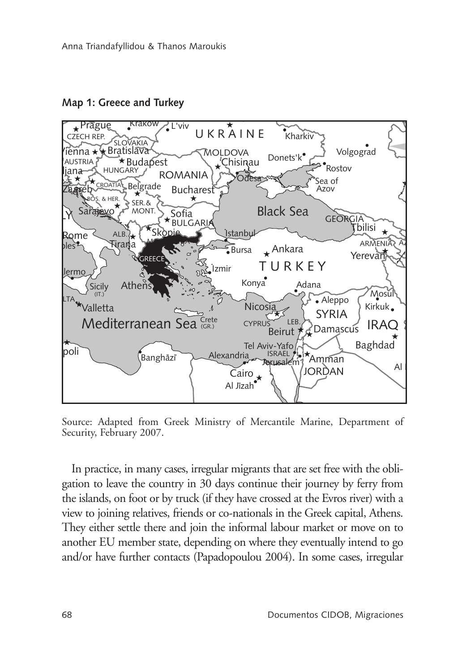**Map 1: Greece and Turkey**



Source: Adapted from Greek Ministry of Mercantile Marine, Department of Security, February 2007.

In practice, in many cases, irregular migrants that are set free with the obli-In precise, in their, cases, inequal ingleme that are set free with the sentence and the set free with the sentence of the country in 30 days continue their journey by ferry from  $i$ ve further contacts (Papadopoulou 2004). In some cases, irreg view to joining relatives, friends or co-nationals in the Greek capital, Athens. Mecca the islands, on foot or by truck (if they have crossed at the Evros river) with a another Le member batte, depending on where they eventually interacted go<br>and/or have further contacts (Papadopoulou 2004). In some cases, irregular They either settle there and join the informal labour market or move on to another EU member state, depending on where they eventually intend to go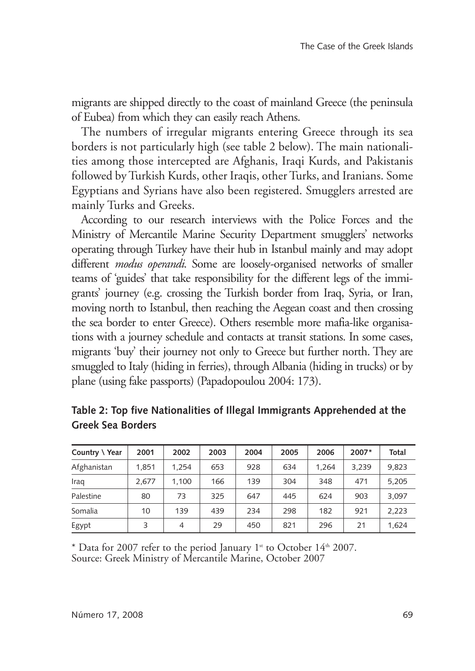migrants are shipped directly to the coast of mainland Greece (the peninsula of Eubea) from which they can easily reach Athens.

The numbers of irregular migrants entering Greece through its sea borders is not particularly high (see table 2 below). The main nationalities among those intercepted are Afghanis, Iraqi Kurds, and Pakistanis followed by Turkish Kurds, other Iraqis, other Turks, and Iranians. Some Egyptians and Syrians have also been registered. Smugglers arrested are mainly Turks and Greeks.

According to our research interviews with the Police Forces and the Ministry of Mercantile Marine Security Department smugglers' networks operating through Turkey have their hub in Istanbul mainly and may adopt different *modus operandi*. Some are loosely-organised networks of smaller teams of 'guides' that take responsibility for the different legs of the immigrants' journey (e.g. crossing the Turkish border from Iraq, Syria, or Iran, moving north to Istanbul, then reaching the Aegean coast and then crossing the sea border to enter Greece). Others resemble more mafia-like organisations with a journey schedule and contacts at transit stations. In some cases, migrants 'buy' their journey not only to Greece but further north. They are smuggled to Italy (hiding in ferries), through Albania (hiding in trucks) or by plane (using fake passports) (Papadopoulou 2004: 173).

| Country \ Year | 2001  | 2002           | 2003 | 2004 | 2005 | 2006  | 2007* | Total |
|----------------|-------|----------------|------|------|------|-------|-------|-------|
| Afghanistan    | 1.851 | 1.254          | 653  | 928  | 634  | 1.264 | 3.239 | 9.823 |
| Iraq           | 2.677 | 1.100          | 166  | 139  | 304  | 348   | 471   | 5.205 |
| Palestine      | 80    | 73             | 325  | 647  | 445  | 624   | 903   | 3.097 |
| Somalia        | 10    | 139            | 439  | 234  | 298  | 182   | 921   | 2.223 |
| Egypt          | 3     | $\overline{4}$ | 29   | 450  | 821  | 296   | 21    | 1.624 |

**Table 2: Top five Nationalities of Illegal Immigrants Apprehended at the Greek Sea Borders** 

\* Data for 2007 refer to the period January 1<sup>st</sup> to October 14<sup>th</sup> 2007. Source: Greek Ministry of Mercantile Marine, October 2007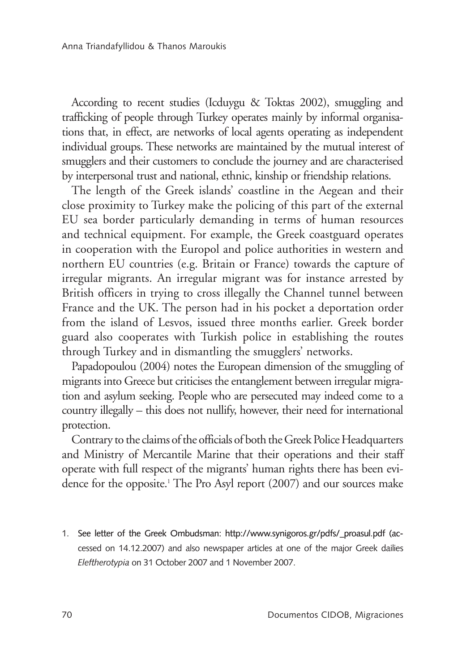According to recent studies (Icduygu & Toktas 2002), smuggling and trafficking of people through Turkey operates mainly by informal organisations that, in effect, are networks of local agents operating as independent individual groups. These networks are maintained by the mutual interest of smugglers and their customers to conclude the journey and are characterised by interpersonal trust and national, ethnic, kinship or friendship relations.

The length of the Greek islands' coastline in the Aegean and their close proximity to Turkey make the policing of this part of the external EU sea border particularly demanding in terms of human resources and technical equipment. For example, the Greek coastguard operates in cooperation with the Europol and police authorities in western and northern EU countries (e.g. Britain or France) towards the capture of irregular migrants. An irregular migrant was for instance arrested by British officers in trying to cross illegally the Channel tunnel between France and the UK. The person had in his pocket a deportation order from the island of Lesvos, issued three months earlier. Greek border guard also cooperates with Turkish police in establishing the routes through Turkey and in dismantling the smugglers' networks.

Papadopoulou (2004) notes the European dimension of the smuggling of migrants into Greece but criticises the entanglement between irregular migration and asylum seeking. People who are persecuted may indeed come to a country illegally – this does not nullify, however, their need for international protection.

Contrary to the claims of the officials of both the Greek Police Headquarters and Ministry of Mercantile Marine that their operations and their staff operate with full respect of the migrants' human rights there has been evidence for the opposite.1 The Pro Asyl report (2007) and our sources make

1. See letter of the Greek Ombudsman: http://www.synigoros.gr/pdfs/\_proasul.pdf (accessed on 14.12.2007) and also newspaper articles at one of the major Greek dailies *Eleftherotypia* on 31 October 2007 and 1 November 2007.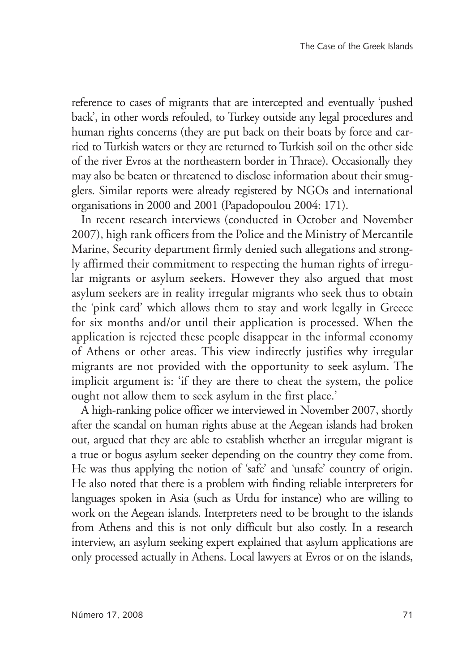reference to cases of migrants that are intercepted and eventually 'pushed back', in other words refouled, to Turkey outside any legal procedures and human rights concerns (they are put back on their boats by force and carried to Turkish waters or they are returned to Turkish soil on the other side of the river Evros at the northeastern border in Thrace). Occasionally they may also be beaten or threatened to disclose information about their smugglers. Similar reports were already registered by NGOs and international organisations in 2000 and 2001 (Papadopoulou 2004: 171).

In recent research interviews (conducted in October and November 2007), high rank officers from the Police and the Ministry of Mercantile Marine, Security department firmly denied such allegations and strongly affirmed their commitment to respecting the human rights of irregular migrants or asylum seekers. However they also argued that most asylum seekers are in reality irregular migrants who seek thus to obtain the 'pink card' which allows them to stay and work legally in Greece for six months and/or until their application is processed. When the application is rejected these people disappear in the informal economy of Athens or other areas. This view indirectly justifies why irregular migrants are not provided with the opportunity to seek asylum. The implicit argument is: 'if they are there to cheat the system, the police ought not allow them to seek asylum in the first place.'

A high-ranking police officer we interviewed in November 2007, shortly after the scandal on human rights abuse at the Aegean islands had broken out, argued that they are able to establish whether an irregular migrant is a true or bogus asylum seeker depending on the country they come from. He was thus applying the notion of 'safe' and 'unsafe' country of origin. He also noted that there is a problem with finding reliable interpreters for languages spoken in Asia (such as Urdu for instance) who are willing to work on the Aegean islands. Interpreters need to be brought to the islands from Athens and this is not only difficult but also costly. In a research interview, an asylum seeking expert explained that asylum applications are only processed actually in Athens. Local lawyers at Evros or on the islands,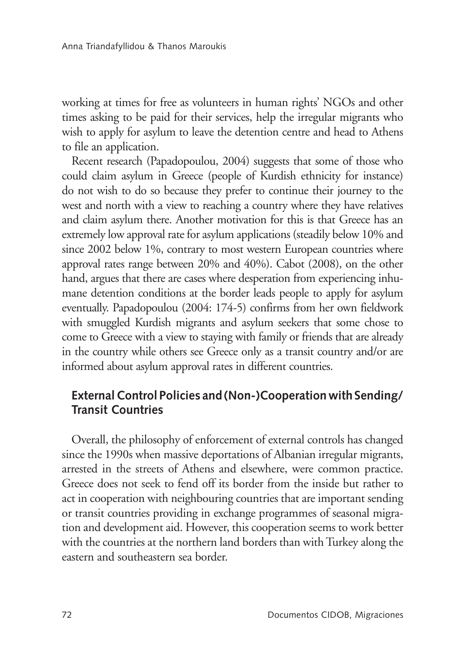working at times for free as volunteers in human rights' NGOs and other times asking to be paid for their services, help the irregular migrants who wish to apply for asylum to leave the detention centre and head to Athens to file an application.

Recent research (Papadopoulou, 2004) suggests that some of those who could claim asylum in Greece (people of Kurdish ethnicity for instance) do not wish to do so because they prefer to continue their journey to the west and north with a view to reaching a country where they have relatives and claim asylum there. Another motivation for this is that Greece has an extremely low approval rate for asylum applications (steadily below 10% and since 2002 below 1%, contrary to most western European countries where approval rates range between 20% and 40%). Cabot (2008), on the other hand, argues that there are cases where desperation from experiencing inhumane detention conditions at the border leads people to apply for asylum eventually. Papadopoulou (2004: 174-5) confirms from her own fieldwork with smuggled Kurdish migrants and asylum seekers that some chose to come to Greece with a view to staying with family or friends that are already in the country while others see Greece only as a transit country and/or are informed about asylum approval rates in different countries.

# **External Control Policies and (Non-)Cooperation with Sending/ Transit Countries**

Overall, the philosophy of enforcement of external controls has changed since the 1990s when massive deportations of Albanian irregular migrants, arrested in the streets of Athens and elsewhere, were common practice. Greece does not seek to fend off its border from the inside but rather to act in cooperation with neighbouring countries that are important sending or transit countries providing in exchange programmes of seasonal migration and development aid. However, this cooperation seems to work better with the countries at the northern land borders than with Turkey along the eastern and southeastern sea border.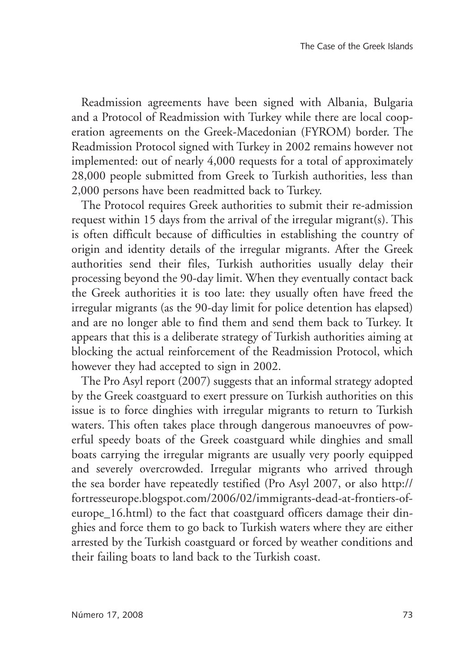Readmission agreements have been signed with Albania, Bulgaria and a Protocol of Readmission with Turkey while there are local cooperation agreements on the Greek-Macedonian (FYROM) border. The Readmission Protocol signed with Turkey in 2002 remains however not implemented: out of nearly 4,000 requests for a total of approximately 28,000 people submitted from Greek to Turkish authorities, less than 2,000 persons have been readmitted back to Turkey.

The Protocol requires Greek authorities to submit their re-admission request within 15 days from the arrival of the irregular migrant(s). This is often difficult because of difficulties in establishing the country of origin and identity details of the irregular migrants. After the Greek authorities send their files, Turkish authorities usually delay their processing beyond the 90-day limit. When they eventually contact back the Greek authorities it is too late: they usually often have freed the irregular migrants (as the 90-day limit for police detention has elapsed) and are no longer able to find them and send them back to Turkey. It appears that this is a deliberate strategy of Turkish authorities aiming at blocking the actual reinforcement of the Readmission Protocol, which however they had accepted to sign in 2002.

The Pro Asyl report (2007) suggests that an informal strategy adopted by the Greek coastguard to exert pressure on Turkish authorities on this issue is to force dinghies with irregular migrants to return to Turkish waters. This often takes place through dangerous manoeuvres of powerful speedy boats of the Greek coastguard while dinghies and small boats carrying the irregular migrants are usually very poorly equipped and severely overcrowded. Irregular migrants who arrived through the sea border have repeatedly testified (Pro Asyl 2007, or also http:// fortresseurope.blogspot.com/2006/02/immigrants-dead-at-frontiers-ofeurope\_16.html) to the fact that coastguard officers damage their dinghies and force them to go back to Turkish waters where they are either arrested by the Turkish coastguard or forced by weather conditions and their failing boats to land back to the Turkish coast.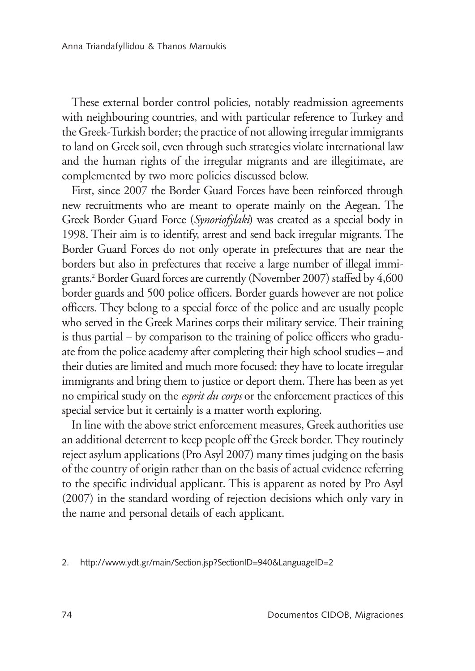These external border control policies, notably readmission agreements with neighbouring countries, and with particular reference to Turkey and the Greek-Turkish border; the practice of not allowing irregular immigrants to land on Greek soil, even through such strategies violate international law and the human rights of the irregular migrants and are illegitimate, are complemented by two more policies discussed below.

First, since 2007 the Border Guard Forces have been reinforced through new recruitments who are meant to operate mainly on the Aegean. The Greek Border Guard Force (*Synoriofylaki*) was created as a special body in 1998. Their aim is to identify, arrest and send back irregular migrants. The Border Guard Forces do not only operate in prefectures that are near the borders but also in prefectures that receive a large number of illegal immigrants.2 Border Guard forces are currently (November 2007) staffed by 4,600 border guards and 500 police officers. Border guards however are not police officers. They belong to a special force of the police and are usually people who served in the Greek Marines corps their military service. Their training is thus partial – by comparison to the training of police officers who graduate from the police academy after completing their high school studies – and their duties are limited and much more focused: they have to locate irregular immigrants and bring them to justice or deport them. There has been as yet no empirical study on the *esprit du corps* or the enforcement practices of this special service but it certainly is a matter worth exploring.

In line with the above strict enforcement measures, Greek authorities use an additional deterrent to keep people off the Greek border. They routinely reject asylum applications (Pro Asyl 2007) many times judging on the basis of the country of origin rather than on the basis of actual evidence referring to the specific individual applicant. This is apparent as noted by Pro Asyl (2007) in the standard wording of rejection decisions which only vary in the name and personal details of each applicant.

2. http://www.ydt.gr/main/Section.jsp?SectionID=940&LanguageID=2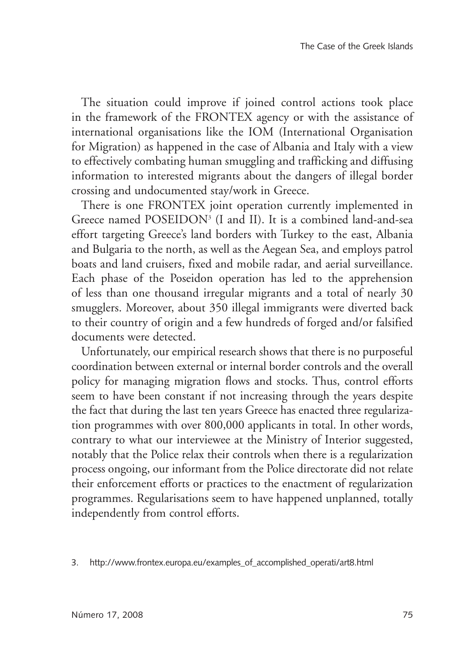The situation could improve if joined control actions took place in the framework of the FRONTEX agency or with the assistance of international organisations like the IOM (International Organisation for Migration) as happened in the case of Albania and Italy with a view to effectively combating human smuggling and trafficking and diffusing information to interested migrants about the dangers of illegal border crossing and undocumented stay/work in Greece.

There is one FRONTEX joint operation currently implemented in Greece named POSEIDON3 (I and II). It is a combined land-and-sea effort targeting Greece's land borders with Turkey to the east, Albania and Bulgaria to the north, as well as the Aegean Sea, and employs patrol boats and land cruisers, fixed and mobile radar, and aerial surveillance. Each phase of the Poseidon operation has led to the apprehension of less than one thousand irregular migrants and a total of nearly 30 smugglers. Moreover, about 350 illegal immigrants were diverted back to their country of origin and a few hundreds of forged and/or falsified documents were detected.

Unfortunately, our empirical research shows that there is no purposeful coordination between external or internal border controls and the overall policy for managing migration flows and stocks. Thus, control efforts seem to have been constant if not increasing through the years despite the fact that during the last ten years Greece has enacted three regularization programmes with over 800,000 applicants in total. In other words, contrary to what our interviewee at the Ministry of Interior suggested, notably that the Police relax their controls when there is a regularization process ongoing, our informant from the Police directorate did not relate their enforcement efforts or practices to the enactment of regularization programmes. Regularisations seem to have happened unplanned, totally independently from control efforts.

3. http://www.frontex.europa.eu/examples\_of\_accomplished\_operati/art8.html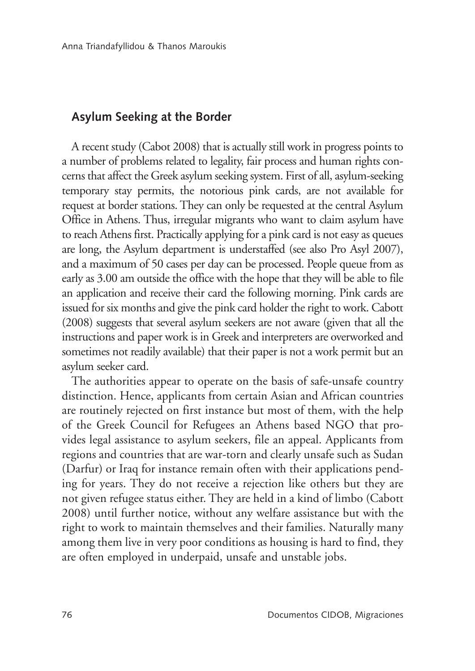## **Asylum Seeking at the Border**

A recent study (Cabot 2008) that is actually still work in progress points to a number of problems related to legality, fair process and human rights concerns that affect the Greek asylum seeking system. First of all, asylum-seeking temporary stay permits, the notorious pink cards, are not available for request at border stations. They can only be requested at the central Asylum Office in Athens. Thus, irregular migrants who want to claim asylum have to reach Athens first. Practically applying for a pink card is not easy as queues are long, the Asylum department is understaffed (see also Pro Asyl 2007), and a maximum of 50 cases per day can be processed. People queue from as early as 3.00 am outside the office with the hope that they will be able to file an application and receive their card the following morning. Pink cards are issued for six months and give the pink card holder the right to work. Cabott (2008) suggests that several asylum seekers are not aware (given that all the instructions and paper work is in Greek and interpreters are overworked and sometimes not readily available) that their paper is not a work permit but an asylum seeker card.

The authorities appear to operate on the basis of safe-unsafe country distinction. Hence, applicants from certain Asian and African countries are routinely rejected on first instance but most of them, with the help of the Greek Council for Refugees an Athens based NGO that provides legal assistance to asylum seekers, file an appeal. Applicants from regions and countries that are war-torn and clearly unsafe such as Sudan (Darfur) or Iraq for instance remain often with their applications pending for years. They do not receive a rejection like others but they are not given refugee status either. They are held in a kind of limbo (Cabott 2008) until further notice, without any welfare assistance but with the right to work to maintain themselves and their families. Naturally many among them live in very poor conditions as housing is hard to find, they are often employed in underpaid, unsafe and unstable jobs.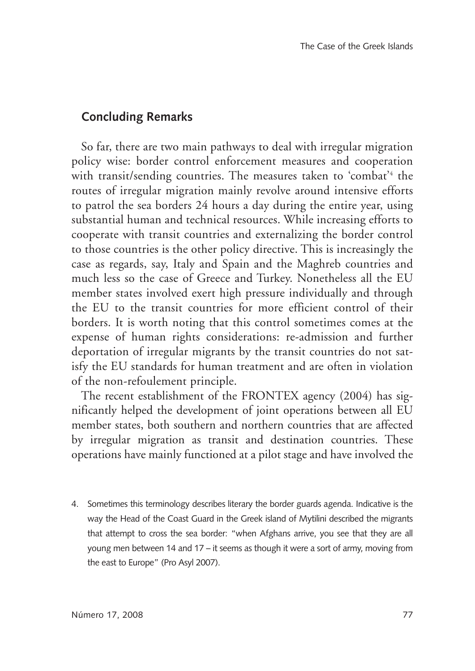## **Concluding Remarks**

So far, there are two main pathways to deal with irregular migration policy wise: border control enforcement measures and cooperation with transit/sending countries. The measures taken to 'combat'4 the routes of irregular migration mainly revolve around intensive efforts to patrol the sea borders 24 hours a day during the entire year, using substantial human and technical resources. While increasing efforts to cooperate with transit countries and externalizing the border control to those countries is the other policy directive. This is increasingly the case as regards, say, Italy and Spain and the Maghreb countries and much less so the case of Greece and Turkey. Nonetheless all the EU member states involved exert high pressure individually and through the EU to the transit countries for more efficient control of their borders. It is worth noting that this control sometimes comes at the expense of human rights considerations: re-admission and further deportation of irregular migrants by the transit countries do not satisfy the EU standards for human treatment and are often in violation of the non-refoulement principle.

The recent establishment of the FRONTEX agency (2004) has significantly helped the development of joint operations between all EU member states, both southern and northern countries that are affected by irregular migration as transit and destination countries. These operations have mainly functioned at a pilot stage and have involved the

4. Sometimes this terminology describes literary the border guards agenda. Indicative is the way the Head of the Coast Guard in the Greek island of Mytilini described the migrants that attempt to cross the sea border: "when Afghans arrive, you see that they are all young men between 14 and 17 – it seems as though it were a sort of army, moving from the east to Europe" (Pro Asyl 2007).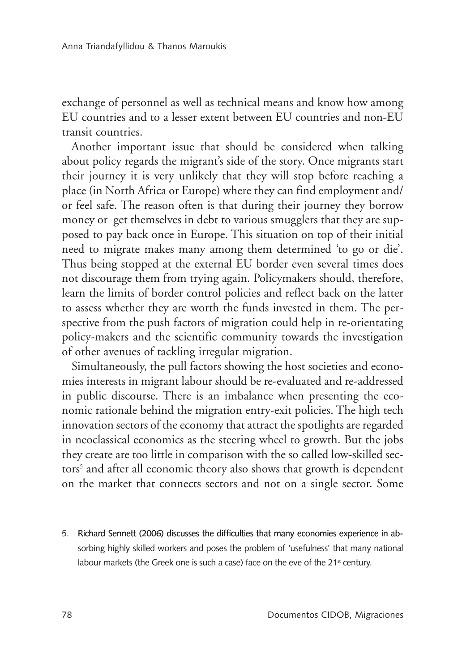exchange of personnel as well as technical means and know how among EU countries and to a lesser extent between EU countries and non-EU transit countries.

Another important issue that should be considered when talking about policy regards the migrant's side of the story. Once migrants start their journey it is very unlikely that they will stop before reaching a place (in North Africa or Europe) where they can find employment and/ or feel safe. The reason often is that during their journey they borrow money or get themselves in debt to various smugglers that they are supposed to pay back once in Europe. This situation on top of their initial need to migrate makes many among them determined 'to go or die'. Thus being stopped at the external EU border even several times does not discourage them from trying again. Policymakers should, therefore, learn the limits of border control policies and reflect back on the latter to assess whether they are worth the funds invested in them. The perspective from the push factors of migration could help in re-orientating policy-makers and the scientific community towards the investigation of other avenues of tackling irregular migration.

Simultaneously, the pull factors showing the host societies and economies interests in migrant labour should be re-evaluated and re-addressed in public discourse. There is an imbalance when presenting the economic rationale behind the migration entry-exit policies. The high tech innovation sectors of the economy that attract the spotlights are regarded in neoclassical economics as the steering wheel to growth. But the jobs they create are too little in comparison with the so called low-skilled sectors<sup>5</sup> and after all economic theory also shows that growth is dependent on the market that connects sectors and not on a single sector. Some

5. Richard Sennett (2006) discusses the difficulties that many economies experience in absorbing highly skilled workers and poses the problem of 'usefulness' that many national labour markets (the Greek one is such a case) face on the eve of the 21<sup>st</sup> century.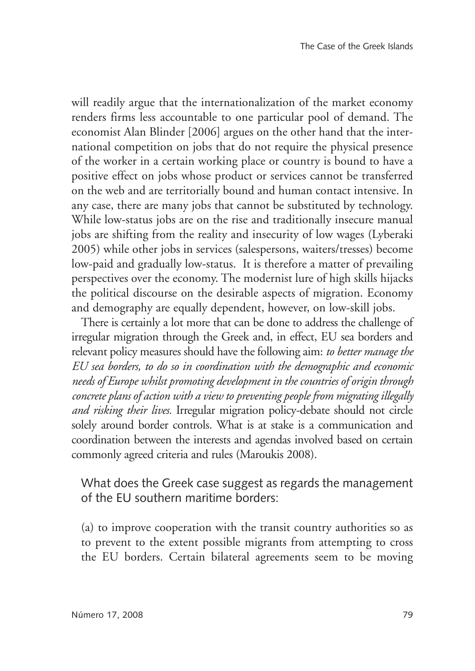will readily argue that the internationalization of the market economy renders firms less accountable to one particular pool of demand. The economist Alan Blinder [2006] argues on the other hand that the international competition on jobs that do not require the physical presence of the worker in a certain working place or country is bound to have a positive effect on jobs whose product or services cannot be transferred on the web and are territorially bound and human contact intensive. In any case, there are many jobs that cannot be substituted by technology. While low-status jobs are on the rise and traditionally insecure manual jobs are shifting from the reality and insecurity of low wages (Lyberaki 2005) while other jobs in services (salespersons, waiters/tresses) become low-paid and gradually low-status. It is therefore a matter of prevailing perspectives over the economy. The modernist lure of high skills hijacks the political discourse on the desirable aspects of migration. Economy and demography are equally dependent, however, on low-skill jobs.

There is certainly a lot more that can be done to address the challenge of irregular migration through the Greek and, in effect, EU sea borders and relevant policy measures should have the following aim: *to better manage the EU sea borders, to do so in coordination with the demographic and economic needs of Europe whilst promoting development in the countries of origin through concrete plans of action with a view to preventing people from migrating illegally and risking their lives.* Irregular migration policy-debate should not circle solely around border controls. What is at stake is a communication and coordination between the interests and agendas involved based on certain commonly agreed criteria and rules (Maroukis 2008).

What does the Greek case suggest as regards the management of the EU southern maritime borders:

(a) to improve cooperation with the transit country authorities so as to prevent to the extent possible migrants from attempting to cross the EU borders. Certain bilateral agreements seem to be moving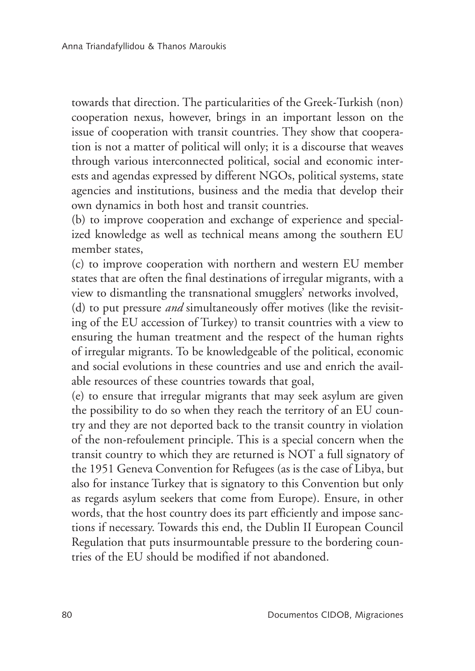towards that direction. The particularities of the Greek-Turkish (non) cooperation nexus, however, brings in an important lesson on the issue of cooperation with transit countries. They show that cooperation is not a matter of political will only; it is a discourse that weaves through various interconnected political, social and economic interests and agendas expressed by different NGOs, political systems, state agencies and institutions, business and the media that develop their own dynamics in both host and transit countries.

(b) to improve cooperation and exchange of experience and specialized knowledge as well as technical means among the southern EU member states,

(c) to improve cooperation with northern and western EU member states that are often the final destinations of irregular migrants, with a view to dismantling the transnational smugglers' networks involved,

(d) to put pressure *and* simultaneously offer motives (like the revisiting of the EU accession of Turkey) to transit countries with a view to ensuring the human treatment and the respect of the human rights of irregular migrants. To be knowledgeable of the political, economic and social evolutions in these countries and use and enrich the available resources of these countries towards that goal,

(e) to ensure that irregular migrants that may seek asylum are given the possibility to do so when they reach the territory of an EU country and they are not deported back to the transit country in violation of the non-refoulement principle. This is a special concern when the transit country to which they are returned is NOT a full signatory of the 1951 Geneva Convention for Refugees (as is the case of Libya, but also for instance Turkey that is signatory to this Convention but only as regards asylum seekers that come from Europe). Ensure, in other words, that the host country does its part efficiently and impose sanctions if necessary. Towards this end, the Dublin II European Council Regulation that puts insurmountable pressure to the bordering countries of the EU should be modified if not abandoned.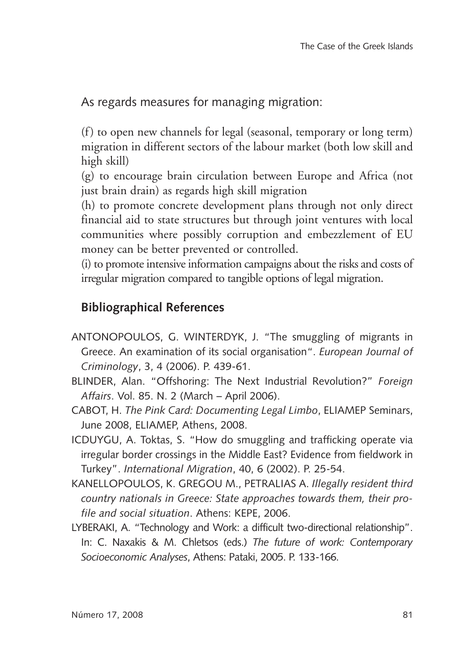As regards measures for managing migration:

(f) to open new channels for legal (seasonal, temporary or long term) migration in different sectors of the labour market (both low skill and high skill)

(g) to encourage brain circulation between Europe and Africa (not just brain drain) as regards high skill migration

(h) to promote concrete development plans through not only direct financial aid to state structures but through joint ventures with local communities where possibly corruption and embezzlement of EU money can be better prevented or controlled.

(i) to promote intensive information campaigns about the risks and costs of irregular migration compared to tangible options of legal migration.

## **Bibliographical References**

- Antonopoulos, G. Winterdyk, J. "The smuggling of migrants in Greece. An examination of its social organisation". *European Journal of Criminology*, 3, 4 (2006). P. 439-61.
- Blinder, Alan. "Offshoring: The Next Industrial Revolution?" *Foreign Affairs*. Vol. 85. N. 2 (March – April 2006).
- Cabot, H. *The Pink Card: Documenting Legal Limbo*, ELIAMEP Seminars, June 2008, ELIAMEP, Athens, 2008.
- ICDUYGU, A. Toktas, S. "How do smuggling and trafficking operate via irregular border crossings in the Middle East? Evidence from fieldwork in Turkey". *International Migration*, 40, 6 (2002). P. 25-54.
- Kanellopoulos, K. Gregou M., Petralias A. *Illegally resident third country nationals in Greece: State approaches towards them, their profile and social situation*. Athens: KEPE, 2006.
- LYBERAKI, A. "Technology and Work: a difficult two-directional relationship". In: C. Naxakis & M. Chletsos (eds.) *The future of work: Contemporary Socioeconomic Analyses*, Athens: Pataki, 2005. P. 133-166.